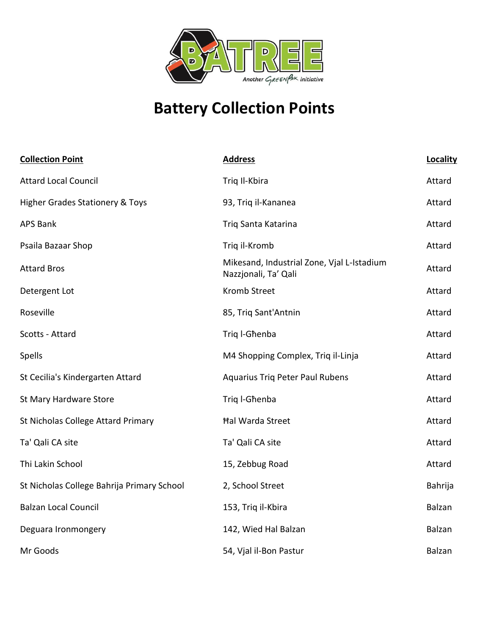

## **Battery Collection Points**

| <b>Collection Point</b>                    | <b>Address</b>                                                     | Locality |
|--------------------------------------------|--------------------------------------------------------------------|----------|
| <b>Attard Local Council</b>                | Triq Il-Kbira                                                      | Attard   |
| <b>Higher Grades Stationery &amp; Toys</b> | 93, Triq il-Kananea                                                | Attard   |
| <b>APS Bank</b>                            | Triq Santa Katarina                                                | Attard   |
| Psaila Bazaar Shop                         | Triq il-Kromb                                                      | Attard   |
| <b>Attard Bros</b>                         | Mikesand, Industrial Zone, Vjal L-Istadium<br>Nazzjonali, Ta' Qali | Attard   |
| Detergent Lot                              | <b>Kromb Street</b>                                                | Attard   |
| Roseville                                  | 85, Triq Sant'Antnin                                               | Attard   |
| Scotts - Attard                            | Trig I-Ghenba                                                      | Attard   |
| Spells                                     | M4 Shopping Complex, Triq il-Linja                                 | Attard   |
| St Cecilia's Kindergarten Attard           | <b>Aquarius Triq Peter Paul Rubens</b>                             | Attard   |
| St Mary Hardware Store                     | Triq I-Ghenba                                                      | Attard   |
| St Nicholas College Attard Primary         | <b>Hal Warda Street</b>                                            | Attard   |
| Ta' Qali CA site                           | Ta' Qali CA site                                                   | Attard   |
| Thi Lakin School                           | 15, Zebbug Road                                                    | Attard   |
| St Nicholas College Bahrija Primary School | 2, School Street                                                   | Bahrija  |
| <b>Balzan Local Council</b>                | 153, Triq il-Kbira                                                 | Balzan   |
| Deguara Ironmongery                        | 142, Wied Hal Balzan                                               | Balzan   |
| Mr Goods                                   | 54, Vjal il-Bon Pastur                                             | Balzan   |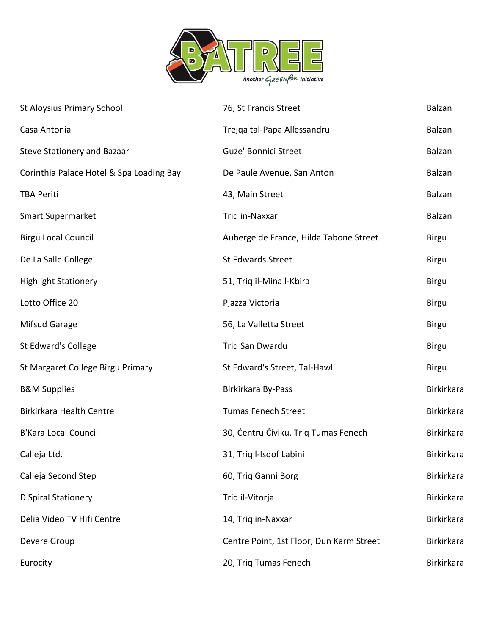

| <b>St Aloysius Primary School</b>        | 76, St Francis Street                    | Balzan            |
|------------------------------------------|------------------------------------------|-------------------|
| Casa Antonia                             | Trejqa tal-Papa Allessandru              | Balzan            |
| <b>Steve Stationery and Bazaar</b>       | Guze' Bonnici Street                     | Balzan            |
| Corinthia Palace Hotel & Spa Loading Bay | De Paule Avenue, San Anton               | Balzan            |
| <b>TBA Periti</b>                        | 43, Main Street                          | Balzan            |
| <b>Smart Supermarket</b>                 | Triq in-Naxxar                           | Balzan            |
| <b>Birgu Local Council</b>               | Auberge de France, Hilda Tabone Street   | <b>Birgu</b>      |
| De La Salle College                      | <b>St Edwards Street</b>                 | <b>Birgu</b>      |
| <b>Highlight Stationery</b>              | 51, Triq il-Mina l-Kbira                 | <b>Birgu</b>      |
| Lotto Office 20                          | Pjazza Victoria                          | <b>Birgu</b>      |
| Mifsud Garage                            | 56, La Valletta Street                   | <b>Birgu</b>      |
| St Edward's College                      | Triq San Dwardu                          | <b>Birgu</b>      |
| St Margaret College Birgu Primary        | St Edward's Street, Tal-Hawli            | <b>Birgu</b>      |
| <b>B&amp;M Supplies</b>                  | Birkirkara By-Pass                       | Birkirkara        |
| <b>Birkirkara Health Centre</b>          | <b>Tumas Fenech Street</b>               | Birkirkara        |
| <b>B'Kara Local Council</b>              | 30, Centru Civiku, Triq Tumas Fenech     | Birkirkara        |
| Calleja Ltd.                             | 31, Triq l-Isqof Labini                  | Birkirkara        |
| Calleja Second Step                      | 60, Triq Ganni Borg                      | <b>Birkirkara</b> |
| D Spiral Stationery                      | Triq il-Vitorja                          | Birkirkara        |
| Delia Video TV Hifi Centre               | 14, Triq in-Naxxar                       | Birkirkara        |
| Devere Group                             | Centre Point, 1st Floor, Dun Karm Street | Birkirkara        |
| Eurocity                                 | 20, Triq Tumas Fenech                    | Birkirkara        |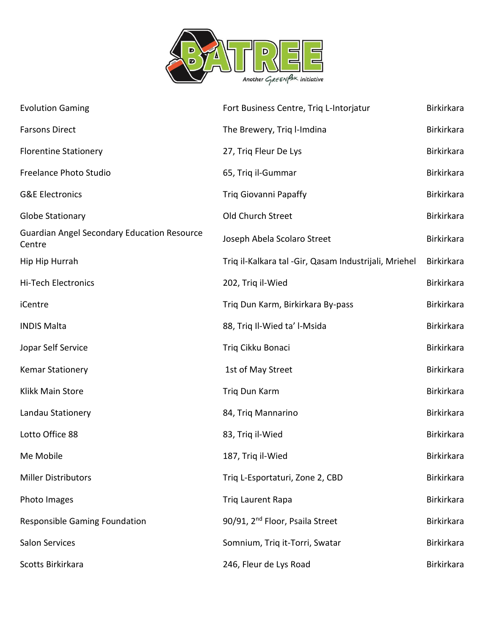

| <b>Evolution Gaming</b>                                      | Fort Business Centre, Triq L-Intorjatur               | Birkirkara        |
|--------------------------------------------------------------|-------------------------------------------------------|-------------------|
| <b>Farsons Direct</b>                                        | The Brewery, Triq l-Imdina                            | <b>Birkirkara</b> |
| <b>Florentine Stationery</b>                                 | 27, Triq Fleur De Lys                                 | <b>Birkirkara</b> |
| Freelance Photo Studio                                       | 65, Triq il-Gummar                                    | Birkirkara        |
| <b>G&amp;E Electronics</b>                                   | <b>Triq Giovanni Papaffy</b>                          | <b>Birkirkara</b> |
| <b>Globe Stationary</b>                                      | Old Church Street                                     | <b>Birkirkara</b> |
| <b>Guardian Angel Secondary Education Resource</b><br>Centre | Joseph Abela Scolaro Street                           | Birkirkara        |
| Hip Hip Hurrah                                               | Triq il-Kalkara tal -Gir, Qasam Industrijali, Mriehel | <b>Birkirkara</b> |
| Hi-Tech Electronics                                          | 202, Triq il-Wied                                     | <b>Birkirkara</b> |
| iCentre                                                      | Triq Dun Karm, Birkirkara By-pass                     | Birkirkara        |
| <b>INDIS Malta</b>                                           | 88, Triq Il-Wied ta' l-Msida                          | Birkirkara        |
| Jopar Self Service                                           | Triq Cikku Bonaci                                     | <b>Birkirkara</b> |
| <b>Kemar Stationery</b>                                      | 1st of May Street                                     | Birkirkara        |
| Klikk Main Store                                             | Triq Dun Karm                                         | Birkirkara        |
| Landau Stationery                                            | 84, Triq Mannarino                                    | <b>Birkirkara</b> |
| Lotto Office 88                                              | 83, Triq il-Wied                                      | Birkirkara        |
| Me Mobile                                                    | 187, Triq il-Wied                                     | <b>Birkirkara</b> |
| <b>Miller Distributors</b>                                   | Triq L-Esportaturi, Zone 2, CBD                       | <b>Birkirkara</b> |
| Photo Images                                                 | Triq Laurent Rapa                                     | <b>Birkirkara</b> |
| <b>Responsible Gaming Foundation</b>                         | 90/91, 2 <sup>nd</sup> Floor, Psaila Street           | Birkirkara        |
| <b>Salon Services</b>                                        | Somnium, Triq it-Torri, Swatar                        | Birkirkara        |
| Scotts Birkirkara                                            | 246, Fleur de Lys Road                                | Birkirkara        |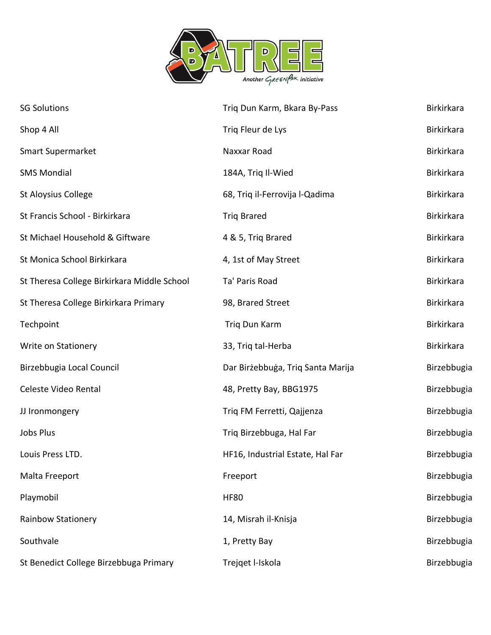

| <b>SG Solutions</b>                         | Triq Dun Karm, Bkara By-Pass      | <b>Birkirkara</b> |
|---------------------------------------------|-----------------------------------|-------------------|
| Shop 4 All                                  | Triq Fleur de Lys                 | Birkirkara        |
| <b>Smart Supermarket</b>                    | Naxxar Road                       | <b>Birkirkara</b> |
| <b>SMS Mondial</b>                          | 184A, Triq Il-Wied                | <b>Birkirkara</b> |
| <b>St Aloysius College</b>                  | 68, Triq il-Ferrovija l-Qadima    | <b>Birkirkara</b> |
| St Francis School - Birkirkara              | <b>Triq Brared</b>                | <b>Birkirkara</b> |
| St Michael Household & Giftware             | 4 & 5, Triq Brared                | <b>Birkirkara</b> |
| St Monica School Birkirkara                 | 4, 1st of May Street              | <b>Birkirkara</b> |
| St Theresa College Birkirkara Middle School | Ta' Paris Road                    | <b>Birkirkara</b> |
| St Theresa College Birkirkara Primary       | 98, Brared Street                 | Birkirkara        |
| Techpoint                                   | Triq Dun Karm                     | <b>Birkirkara</b> |
| Write on Stationery                         | 33, Triq tal-Herba                | Birkirkara        |
| Birzebbugia Local Council                   | Dar Birżebbuġa, Triq Santa Marija | Birzebbugia       |
| Celeste Video Rental                        | 48, Pretty Bay, BBG1975           | Birzebbugia       |
| JJ Ironmongery                              | Triq FM Ferretti, Qajjenza        | Birzebbugia       |
| Jobs Plus                                   | Triq Birzebbuga, Hal Far          | Birzebbugia       |
| Louis Press LTD.                            | HF16, Industrial Estate, Hal Far  | Birzebbugia       |
| Malta Freeport                              | Freeport                          | Birzebbugia       |
| Playmobil                                   | <b>HF80</b>                       | Birzebbugia       |
| <b>Rainbow Stationery</b>                   | 14, Misrah il-Knisja              | Birzebbugia       |
| Southvale                                   | 1, Pretty Bay                     | Birzebbugia       |
| St Benedict College Birzebbuga Primary      | Trejqet I-Iskola                  | Birzebbugia       |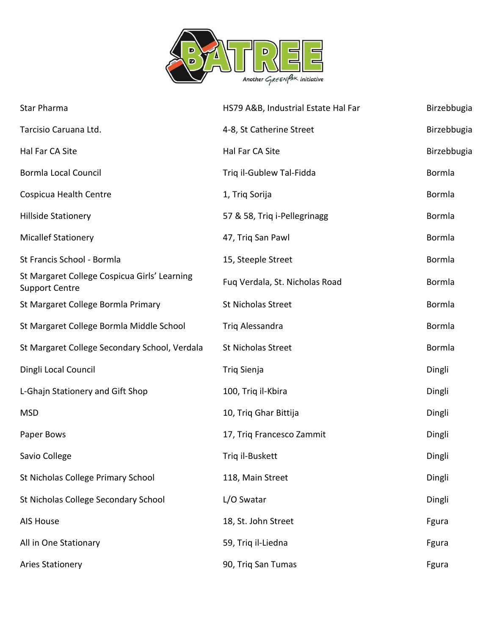

| Star Pharma                                                           | HS79 A&B, Industrial Estate Hal Far | Birzebbugia |
|-----------------------------------------------------------------------|-------------------------------------|-------------|
| Tarcisio Caruana Ltd.                                                 | 4-8, St Catherine Street            | Birzebbugia |
| Hal Far CA Site                                                       | Hal Far CA Site                     | Birzebbugia |
| <b>Bormla Local Council</b>                                           | Triq il-Gublew Tal-Fidda            | Bormla      |
| Cospicua Health Centre                                                | 1, Triq Sorija                      | Bormla      |
| <b>Hillside Stationery</b>                                            | 57 & 58, Triq i-Pellegrinagg        | Bormla      |
| <b>Micallef Stationery</b>                                            | 47, Triq San Pawl                   | Bormla      |
| St Francis School - Bormla                                            | 15, Steeple Street                  | Bormla      |
| St Margaret College Cospicua Girls' Learning<br><b>Support Centre</b> | Fuq Verdala, St. Nicholas Road      | Bormla      |
| St Margaret College Bormla Primary                                    | St Nicholas Street                  | Bormla      |
| St Margaret College Bormla Middle School                              | Triq Alessandra                     | Bormla      |
| St Margaret College Secondary School, Verdala                         | St Nicholas Street                  | Bormla      |
| Dingli Local Council                                                  | Triq Sienja                         | Dingli      |
| L-Ghajn Stationery and Gift Shop                                      | 100, Triq il-Kbira                  | Dingli      |
| <b>MSD</b>                                                            | 10, Triq Ghar Bittija               | Dingli      |
| Paper Bows                                                            | 17, Triq Francesco Zammit           | Dingli      |
| Savio College                                                         | Triq il-Buskett                     | Dingli      |
| St Nicholas College Primary School                                    | 118, Main Street                    | Dingli      |
| St Nicholas College Secondary School                                  | L/O Swatar                          | Dingli      |
| <b>AIS House</b>                                                      | 18, St. John Street                 | Fgura       |
| All in One Stationary                                                 | 59, Triq il-Liedna                  | Fgura       |
| <b>Aries Stationery</b>                                               | 90, Triq San Tumas                  | Fgura       |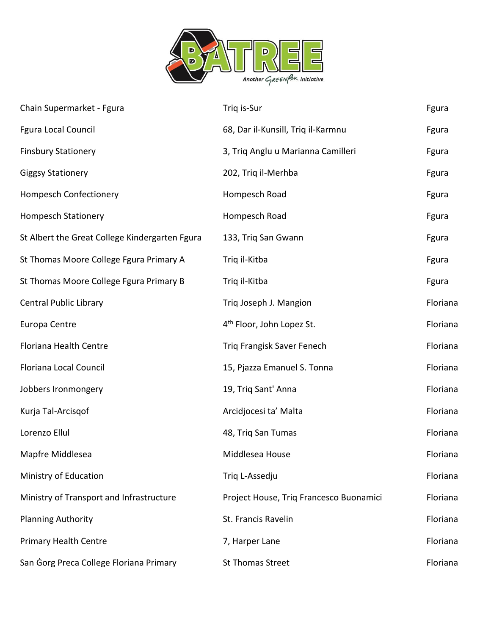

| Chain Supermarket - Fgura                      | Triq is-Sur                             | Fgura    |
|------------------------------------------------|-----------------------------------------|----------|
| Fgura Local Council                            | 68, Dar il-Kunsill, Triq il-Karmnu      | Fgura    |
| <b>Finsbury Stationery</b>                     | 3, Triq Anglu u Marianna Camilleri      | Fgura    |
| <b>Giggsy Stationery</b>                       | 202, Triq il-Merhba                     | Fgura    |
| <b>Hompesch Confectionery</b>                  | Hompesch Road                           | Fgura    |
| <b>Hompesch Stationery</b>                     | Hompesch Road                           | Fgura    |
| St Albert the Great College Kindergarten Fgura | 133, Triq San Gwann                     | Fgura    |
| St Thomas Moore College Fgura Primary A        | Triq il-Kitba                           | Fgura    |
| St Thomas Moore College Fgura Primary B        | Triq il-Kitba                           | Fgura    |
| <b>Central Public Library</b>                  | Triq Joseph J. Mangion                  | Floriana |
| Europa Centre                                  | 4 <sup>th</sup> Floor, John Lopez St.   | Floriana |
| Floriana Health Centre                         | Triq Frangisk Saver Fenech              | Floriana |
| Floriana Local Council                         | 15, Pjazza Emanuel S. Tonna             | Floriana |
| Jobbers Ironmongery                            | 19, Triq Sant' Anna                     | Floriana |
| Kurja Tal-Arcisgof                             | Arcidjocesi ta' Malta                   | Floriana |
| Lorenzo Ellul                                  | 48, Triq San Tumas                      | Floriana |
| Mapfre Middlesea                               | Middlesea House                         | Floriana |
| Ministry of Education                          | Triq L-Assedju                          | Floriana |
| Ministry of Transport and Infrastructure       | Project House, Triq Francesco Buonamici | Floriana |
| <b>Planning Authority</b>                      | St. Francis Ravelin                     | Floriana |
| <b>Primary Health Centre</b>                   | 7, Harper Lane                          | Floriana |
| San Gorg Preca College Floriana Primary        | <b>St Thomas Street</b>                 | Floriana |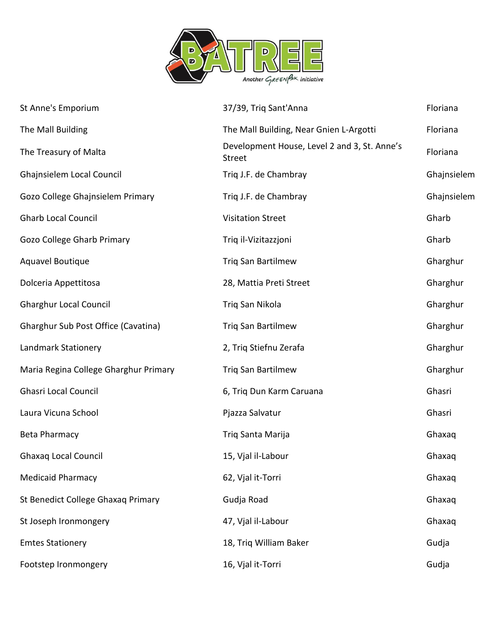

| St Anne's Emporium                    | 37/39, Triq Sant'Anna                                  | Floriana    |
|---------------------------------------|--------------------------------------------------------|-------------|
| The Mall Building                     | The Mall Building, Near Gnien L-Argotti                | Floriana    |
| The Treasury of Malta                 | Development House, Level 2 and 3, St. Anne's<br>Street | Floriana    |
| Ghajnsielem Local Council             | Triq J.F. de Chambray                                  | Ghajnsielem |
| Gozo College Ghajnsielem Primary      | Triq J.F. de Chambray                                  | Ghajnsielem |
| <b>Gharb Local Council</b>            | <b>Visitation Street</b>                               | Gharb       |
| Gozo College Gharb Primary            | Triq il-Vizitazzjoni                                   | Gharb       |
| <b>Aquavel Boutique</b>               | Triq San Bartilmew                                     | Gharghur    |
| Dolceria Appettitosa                  | 28, Mattia Preti Street                                | Gharghur    |
| <b>Gharghur Local Council</b>         | Triq San Nikola                                        | Gharghur    |
| Gharghur Sub Post Office (Cavatina)   | <b>Triq San Bartilmew</b>                              | Gharghur    |
| Landmark Stationery                   | 2, Triq Stiefnu Zerafa                                 | Gharghur    |
| Maria Regina College Gharghur Primary | Triq San Bartilmew                                     | Gharghur    |
| <b>Ghasri Local Council</b>           | 6, Triq Dun Karm Caruana                               | Ghasri      |
| Laura Vicuna School                   | Pjazza Salvatur                                        | Ghasri      |
| <b>Beta Pharmacy</b>                  | Triq Santa Marija                                      | Ghaxaq      |
| <b>Ghaxaq Local Council</b>           | 15, Vjal il-Labour                                     | Ghaxaq      |
| <b>Medicaid Pharmacy</b>              | 62, Vjal it-Torri                                      | Ghaxaq      |
| St Benedict College Ghaxaq Primary    | Gudja Road                                             | Ghaxaq      |
| St Joseph Ironmongery                 | 47, Vjal il-Labour                                     | Ghaxaq      |
| <b>Emtes Stationery</b>               | 18, Triq William Baker                                 | Gudja       |
| Footstep Ironmongery                  | 16, Vjal it-Torri                                      | Gudja       |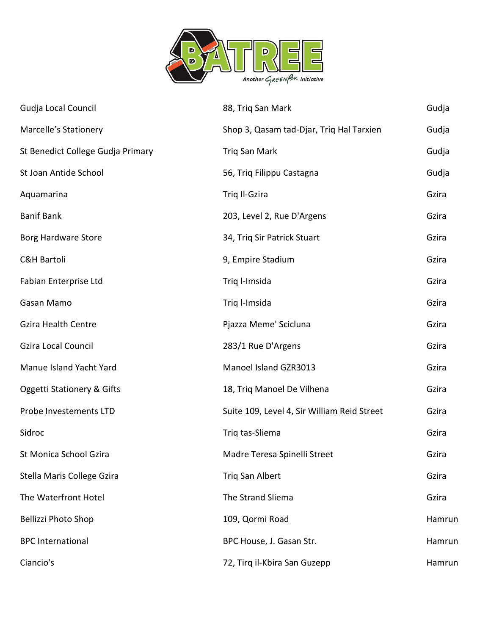

| Gudja Local Council               | 88, Triq San Mark                           | Gudja  |
|-----------------------------------|---------------------------------------------|--------|
| Marcelle's Stationery             | Shop 3, Qasam tad-Djar, Triq Hal Tarxien    | Gudja  |
| St Benedict College Gudja Primary | Triq San Mark                               | Gudja  |
| St Joan Antide School             | 56, Triq Filippu Castagna                   | Gudja  |
| Aquamarina                        | Triq Il-Gzira                               | Gzira  |
| <b>Banif Bank</b>                 | 203, Level 2, Rue D'Argens                  | Gzira  |
| Borg Hardware Store               | 34, Triq Sir Patrick Stuart                 | Gzira  |
| <b>C&amp;H Bartoli</b>            | 9, Empire Stadium                           | Gzira  |
| Fabian Enterprise Ltd             | Triq l-Imsida                               | Gzira  |
| Gasan Mamo                        | Triq l-Imsida                               | Gzira  |
| <b>Gzira Health Centre</b>        | Pjazza Meme' Scicluna                       | Gzira  |
| <b>Gzira Local Council</b>        | 283/1 Rue D'Argens                          | Gzira  |
| Manue Island Yacht Yard           | Manoel Island GZR3013                       | Gzira  |
| Oggetti Stationery & Gifts        | 18, Triq Manoel De Vilhena                  | Gzira  |
| Probe Investements LTD            | Suite 109, Level 4, Sir William Reid Street | Gzira  |
| Sidroc                            | Triq tas-Sliema                             | Gzira  |
| St Monica School Gzira            | Madre Teresa Spinelli Street                | Gzira  |
| Stella Maris College Gzira        | Triq San Albert                             | Gzira  |
| The Waterfront Hotel              | The Strand Sliema                           | Gzira  |
| <b>Bellizzi Photo Shop</b>        | 109, Qormi Road                             | Hamrun |
| <b>BPC</b> International          | BPC House, J. Gasan Str.                    | Hamrun |
| Ciancio's                         | 72, Tirq il-Kbira San Guzepp                | Hamrun |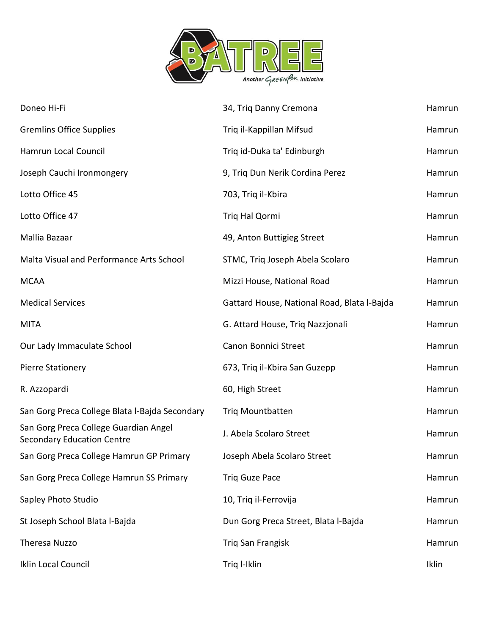

| Doneo Hi-Fi                                                                | 34, Triq Danny Cremona                      | Hamrun |
|----------------------------------------------------------------------------|---------------------------------------------|--------|
| <b>Gremlins Office Supplies</b>                                            | Triq il-Kappillan Mifsud                    | Hamrun |
| Hamrun Local Council                                                       | Triq id-Duka ta' Edinburgh                  | Hamrun |
| Joseph Cauchi Ironmongery                                                  | 9, Triq Dun Nerik Cordina Perez             | Hamrun |
| Lotto Office 45                                                            | 703, Triq il-Kbira                          | Hamrun |
| Lotto Office 47                                                            | Triq Hal Qormi                              | Hamrun |
| Mallia Bazaar                                                              | 49, Anton Buttigieg Street                  | Hamrun |
| Malta Visual and Performance Arts School                                   | STMC, Triq Joseph Abela Scolaro             | Hamrun |
| <b>MCAA</b>                                                                | Mizzi House, National Road                  | Hamrun |
| <b>Medical Services</b>                                                    | Gattard House, National Road, Blata l-Bajda | Hamrun |
| <b>MITA</b>                                                                | G. Attard House, Triq Nazzjonali            | Hamrun |
| Our Lady Immaculate School                                                 | Canon Bonnici Street                        | Hamrun |
| <b>Pierre Stationery</b>                                                   | 673, Triq il-Kbira San Guzepp               | Hamrun |
| R. Azzopardi                                                               | 60, High Street                             | Hamrun |
| San Gorg Preca College Blata l-Bajda Secondary                             | <b>Triq Mountbatten</b>                     | Hamrun |
| San Gorg Preca College Guardian Angel<br><b>Secondary Education Centre</b> | J. Abela Scolaro Street                     | Hamrun |
| San Gorg Preca College Hamrun GP Primary                                   | Joseph Abela Scolaro Street                 | Hamrun |
| San Gorg Preca College Hamrun SS Primary                                   | <b>Triq Guze Pace</b>                       | Hamrun |
| Sapley Photo Studio                                                        | 10, Triq il-Ferrovija                       | Hamrun |
| St Joseph School Blata l-Bajda                                             | Dun Gorg Preca Street, Blata l-Bajda        | Hamrun |
| Theresa Nuzzo                                                              | <b>Triq San Frangisk</b>                    | Hamrun |
| Iklin Local Council                                                        | Triq I-Iklin                                | Iklin  |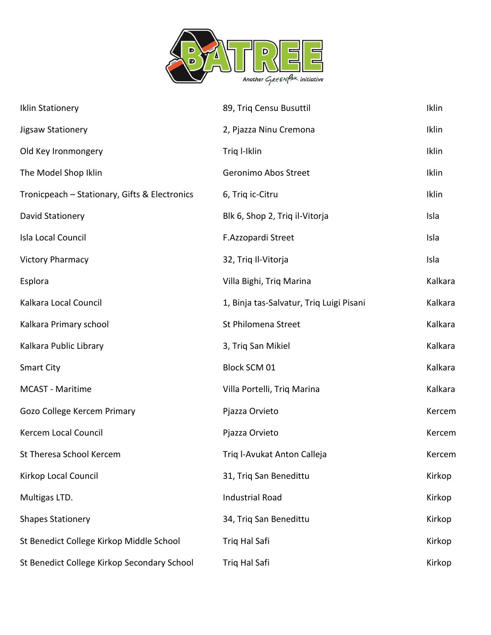

| <b>Iklin Stationery</b>                       | 89, Triq Censu Busuttil                  | Iklin   |
|-----------------------------------------------|------------------------------------------|---------|
| Jigsaw Stationery                             | 2, Pjazza Ninu Cremona                   | Iklin   |
| Old Key Ironmongery                           | Triq I-Iklin                             | Iklin   |
| The Model Shop Iklin                          | Geronimo Abos Street                     | Iklin   |
| Tronicpeach - Stationary, Gifts & Electronics | 6, Triq ic-Citru                         | Iklin   |
| David Stationery                              | Blk 6, Shop 2, Triq il-Vitorja           | Isla    |
| Isla Local Council                            | F.Azzopardi Street                       | Isla    |
| <b>Victory Pharmacy</b>                       | 32, Triq Il-Vitorja                      | Isla    |
| Esplora                                       | Villa Bighi, Triq Marina                 | Kalkara |
| Kalkara Local Council                         | 1, Binja tas-Salvatur, Triq Luigi Pisani | Kalkara |
| Kalkara Primary school                        | St Philomena Street                      | Kalkara |
| Kalkara Public Library                        | 3, Triq San Mikiel                       | Kalkara |
| <b>Smart City</b>                             | Block SCM 01                             | Kalkara |
| MCAST - Maritime                              | Villa Portelli, Triq Marina              | Kalkara |
| Gozo College Kercem Primary                   | Pjazza Orvieto                           | Kercem  |
| Kercem Local Council                          | Pjazza Orvieto                           | Kercem  |
| St Theresa School Kercem                      | Triq I-Avukat Anton Calleja              | Kercem  |
| Kirkop Local Council                          | 31, Triq San Benedittu                   | Kirkop  |
| Multigas LTD.                                 | <b>Industrial Road</b>                   | Kirkop  |
| <b>Shapes Stationery</b>                      | 34, Triq San Benedittu                   | Kirkop  |
| St Benedict College Kirkop Middle School      | Triq Hal Safi                            | Kirkop  |
| St Benedict College Kirkop Secondary School   | Triq Hal Safi                            | Kirkop  |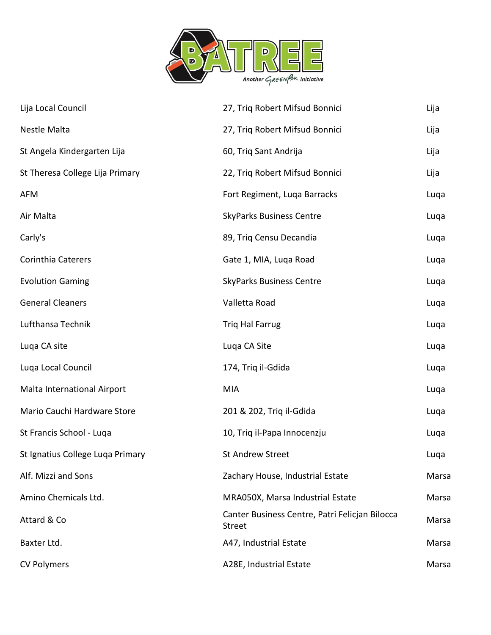

| Lija Local Council               | 27, Triq Robert Mifsud Bonnici                                  | Lija  |
|----------------------------------|-----------------------------------------------------------------|-------|
| Nestle Malta                     | 27, Triq Robert Mifsud Bonnici                                  | Lija  |
| St Angela Kindergarten Lija      | 60, Triq Sant Andrija                                           | Lija  |
| St Theresa College Lija Primary  | 22, Triq Robert Mifsud Bonnici                                  | Lija  |
| <b>AFM</b>                       | Fort Regiment, Luqa Barracks                                    | Luqa  |
| Air Malta                        | <b>SkyParks Business Centre</b>                                 | Luqa  |
| Carly's                          | 89, Triq Censu Decandia                                         | Luqa  |
| Corinthia Caterers               | Gate 1, MIA, Luqa Road                                          | Luqa  |
| <b>Evolution Gaming</b>          | <b>SkyParks Business Centre</b>                                 | Luqa  |
| <b>General Cleaners</b>          | Valletta Road                                                   | Luqa  |
| Lufthansa Technik                | <b>Trig Hal Farrug</b>                                          | Luqa  |
| Luqa CA site                     | Luqa CA Site                                                    | Luqa  |
| Luqa Local Council               | 174, Triq il-Gdida                                              | Luqa  |
| Malta International Airport      | <b>MIA</b>                                                      | Luqa  |
| Mario Cauchi Hardware Store      | 201 & 202, Triq il-Gdida                                        | Luqa  |
| St Francis School - Luqa         | 10, Triq il-Papa Innocenzju                                     | Luqa  |
| St Ignatius College Luga Primary | <b>St Andrew Street</b>                                         | Luqa  |
| Alf. Mizzi and Sons              | Zachary House, Industrial Estate                                | Marsa |
| Amino Chemicals Ltd.             | MRA050X, Marsa Industrial Estate                                | Marsa |
| Attard & Co                      | Canter Business Centre, Patri Felicjan Bilocca<br><b>Street</b> | Marsa |
| Baxter Ltd.                      | A47, Industrial Estate                                          | Marsa |
| <b>CV Polymers</b>               | A28E, Industrial Estate                                         | Marsa |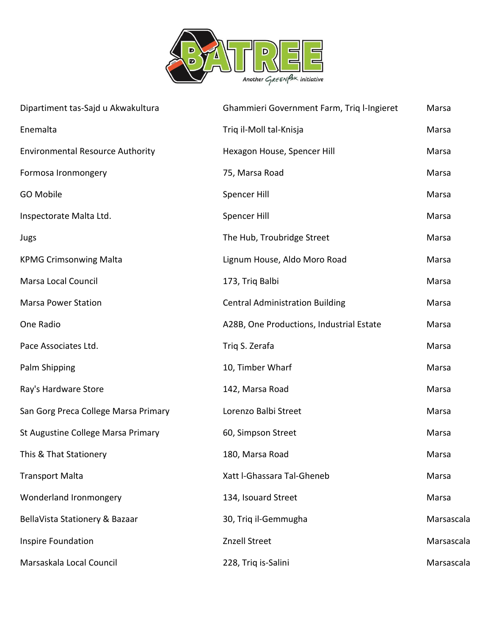

| Dipartiment tas-Sajd u Akwakultura      | Ghammieri Government Farm, Triq l-Ingieret | Marsa      |
|-----------------------------------------|--------------------------------------------|------------|
| Enemalta                                | Triq il-Moll tal-Knisja                    | Marsa      |
| <b>Environmental Resource Authority</b> | Hexagon House, Spencer Hill                | Marsa      |
| Formosa Ironmongery                     | 75, Marsa Road                             | Marsa      |
| GO Mobile                               | Spencer Hill                               | Marsa      |
| Inspectorate Malta Ltd.                 | Spencer Hill                               | Marsa      |
| Jugs                                    | The Hub, Troubridge Street                 | Marsa      |
| <b>KPMG Crimsonwing Malta</b>           | Lignum House, Aldo Moro Road               | Marsa      |
| Marsa Local Council                     | 173, Triq Balbi                            | Marsa      |
| <b>Marsa Power Station</b>              | <b>Central Administration Building</b>     | Marsa      |
| One Radio                               | A28B, One Productions, Industrial Estate   | Marsa      |
| Pace Associates Ltd.                    | Triq S. Zerafa                             | Marsa      |
| Palm Shipping                           | 10, Timber Wharf                           | Marsa      |
| Ray's Hardware Store                    | 142, Marsa Road                            | Marsa      |
| San Gorg Preca College Marsa Primary    | Lorenzo Balbi Street                       | Marsa      |
| St Augustine College Marsa Primary      | 60, Simpson Street                         | Marsa      |
| This & That Stationery                  | 180, Marsa Road                            | Marsa      |
| <b>Transport Malta</b>                  | Xatt I-Ghassara Tal-Gheneb                 | Marsa      |
| Wonderland Ironmongery                  | 134, Isouard Street                        | Marsa      |
| BellaVista Stationery & Bazaar          | 30, Triq il-Gemmugha                       | Marsascala |
| Inspire Foundation                      | Znzell Street                              | Marsascala |
| Marsaskala Local Council                | 228, Triq is-Salini                        | Marsascala |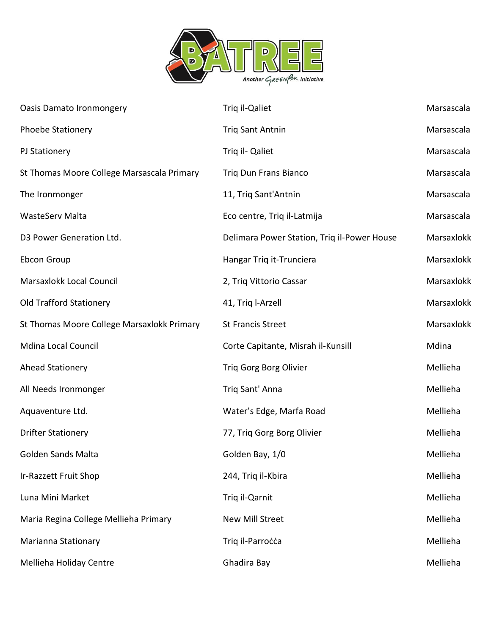

| <b>Oasis Damato Ironmongery</b>            | Triq il-Qaliet                              | Marsascala |
|--------------------------------------------|---------------------------------------------|------------|
| <b>Phoebe Stationery</b>                   | <b>Triq Sant Antnin</b>                     | Marsascala |
| PJ Stationery                              | Triq il- Qaliet                             | Marsascala |
| St Thomas Moore College Marsascala Primary | <b>Triq Dun Frans Bianco</b>                | Marsascala |
| The Ironmonger                             | 11, Triq Sant'Antnin                        | Marsascala |
| WasteServ Malta                            | Eco centre, Triq il-Latmija                 | Marsascala |
| D3 Power Generation Ltd.                   | Delimara Power Station, Triq il-Power House | Marsaxlokk |
| Ebcon Group                                | Hangar Triq it-Trunciera                    | Marsaxlokk |
| Marsaxlokk Local Council                   | 2, Triq Vittorio Cassar                     | Marsaxlokk |
| <b>Old Trafford Stationery</b>             | 41, Triq l-Arzell                           | Marsaxlokk |
| St Thomas Moore College Marsaxlokk Primary | <b>St Francis Street</b>                    | Marsaxlokk |
| <b>Mdina Local Council</b>                 | Corte Capitante, Misrah il-Kunsill          | Mdina      |
| <b>Ahead Stationery</b>                    | Triq Gorg Borg Olivier                      | Mellieha   |
| All Needs Ironmonger                       | Triq Sant' Anna                             | Mellieha   |
| Aquaventure Ltd.                           | Water's Edge, Marfa Road                    | Mellieha   |
| <b>Drifter Stationery</b>                  | 77, Triq Gorg Borg Olivier                  | Mellieha   |
| <b>Golden Sands Malta</b>                  | Golden Bay, 1/0                             | Mellieha   |
| Ir-Razzett Fruit Shop                      | 244, Triq il-Kbira                          | Mellieha   |
| Luna Mini Market                           | Triq il-Qarnit                              | Mellieha   |
| Maria Regina College Mellieha Primary      | <b>New Mill Street</b>                      | Mellieha   |
| Marianna Stationary                        | Triq il-Parrocca                            | Mellieha   |
| Mellieha Holiday Centre                    | Ghadira Bay                                 | Mellieha   |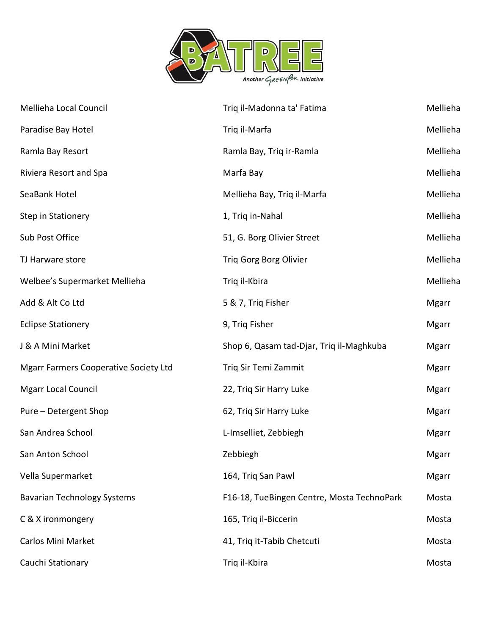

| Mellieha Local Council                       | Triq il-Madonna ta' Fatima                 | Mellieha     |
|----------------------------------------------|--------------------------------------------|--------------|
| Paradise Bay Hotel                           | Triq il-Marfa                              | Mellieha     |
| Ramla Bay Resort                             | Ramla Bay, Triq ir-Ramla                   | Mellieha     |
| Riviera Resort and Spa                       | Marfa Bay                                  | Mellieha     |
| SeaBank Hotel                                | Mellieha Bay, Triq il-Marfa                | Mellieha     |
| Step in Stationery                           | 1, Triq in-Nahal                           | Mellieha     |
| Sub Post Office                              | 51, G. Borg Olivier Street                 | Mellieha     |
| TJ Harware store                             | Triq Gorg Borg Olivier                     | Mellieha     |
| Welbee's Supermarket Mellieha                | Triq il-Kbira                              | Mellieha     |
| Add & Alt Co Ltd                             | 5 & 7, Triq Fisher                         | <b>Mgarr</b> |
| <b>Eclipse Stationery</b>                    | 9, Triq Fisher                             | <b>Mgarr</b> |
| J & A Mini Market                            | Shop 6, Qasam tad-Djar, Triq il-Maghkuba   | <b>Mgarr</b> |
| <b>Mgarr Farmers Cooperative Society Ltd</b> | Triq Sir Temi Zammit                       | <b>Mgarr</b> |
| <b>Mgarr Local Council</b>                   | 22, Triq Sir Harry Luke                    | <b>Mgarr</b> |
| Pure - Detergent Shop                        | 62, Triq Sir Harry Luke                    | <b>Mgarr</b> |
| San Andrea School                            | L-Imselliet, Zebbiegh                      | <b>Mgarr</b> |
| San Anton School                             | Zebbiegh                                   | Mgarr        |
| Vella Supermarket                            | 164, Triq San Pawl                         | <b>Mgarr</b> |
| <b>Bavarian Technology Systems</b>           | F16-18, TueBingen Centre, Mosta TechnoPark | Mosta        |
| C & X ironmongery                            | 165, Triq il-Biccerin                      | Mosta        |
| <b>Carlos Mini Market</b>                    | 41, Triq it-Tabib Chetcuti                 | Mosta        |
| Cauchi Stationary                            | Triq il-Kbira                              | Mosta        |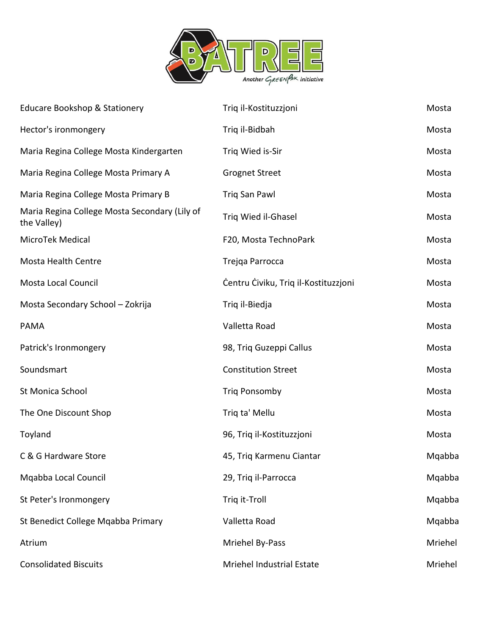

| <b>Educare Bookshop &amp; Stationery</b>                     | Triq il-Kostituzzjoni                | Mosta   |
|--------------------------------------------------------------|--------------------------------------|---------|
| Hector's ironmongery                                         | Triq il-Bidbah                       | Mosta   |
| Maria Regina College Mosta Kindergarten                      | Triq Wied is-Sir                     | Mosta   |
| Maria Regina College Mosta Primary A                         | <b>Grognet Street</b>                | Mosta   |
| Maria Regina College Mosta Primary B                         | Triq San Pawl                        | Mosta   |
| Maria Regina College Mosta Secondary (Lily of<br>the Valley) | Triq Wied il-Ghasel                  | Mosta   |
| MicroTek Medical                                             | F20, Mosta TechnoPark                | Mosta   |
| <b>Mosta Health Centre</b>                                   | Trejqa Parrocca                      | Mosta   |
| Mosta Local Council                                          | Centru Civiku, Triq il-Kostituzzjoni | Mosta   |
| Mosta Secondary School - Zokrija                             | Triq il-Biedja                       | Mosta   |
| PAMA                                                         | Valletta Road                        | Mosta   |
| Patrick's Ironmongery                                        | 98, Triq Guzeppi Callus              | Mosta   |
| Soundsmart                                                   | <b>Constitution Street</b>           | Mosta   |
| St Monica School                                             | <b>Triq Ponsomby</b>                 | Mosta   |
| The One Discount Shop                                        | Triq ta' Mellu                       | Mosta   |
| Toyland                                                      | 96, Triq il-Kostituzzjoni            | Mosta   |
| C & G Hardware Store                                         | 45, Triq Karmenu Ciantar             | Mqabba  |
| Mgabba Local Council                                         | 29, Triq il-Parrocca                 | Mqabba  |
| St Peter's Ironmongery                                       | Triq it-Troll                        | Mqabba  |
| St Benedict College Mqabba Primary                           | Valletta Road                        | Mqabba  |
| Atrium                                                       | Mriehel By-Pass                      | Mriehel |
| <b>Consolidated Biscuits</b>                                 | Mriehel Industrial Estate            | Mriehel |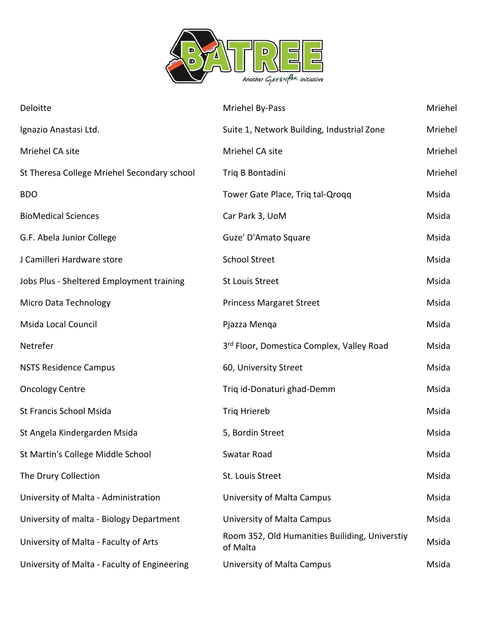

| Deloitte                                     | Mriehel By-Pass                                            | Mriehel |
|----------------------------------------------|------------------------------------------------------------|---------|
| Ignazio Anastasi Ltd.                        | Suite 1, Network Building, Industrial Zone                 | Mriehel |
| Mriehel CA site                              | Mriehel CA site                                            | Mriehel |
| St Theresa College Mriehel Secondary school  | Triq B Bontadini                                           | Mriehel |
| <b>BDO</b>                                   | Tower Gate Place, Triq tal-Qroqq                           | Msida   |
| <b>BioMedical Sciences</b>                   | Car Park 3, UoM                                            | Msida   |
| G.F. Abela Junior College                    | Guze' D'Amato Square                                       | Msida   |
| J Camilleri Hardware store                   | <b>School Street</b>                                       | Msida   |
| Jobs Plus - Sheltered Employment training    | <b>St Louis Street</b>                                     | Msida   |
| Micro Data Technology                        | <b>Princess Margaret Street</b>                            | Msida   |
| <b>Msida Local Council</b>                   | Pjazza Menga                                               | Msida   |
| Netrefer                                     | 3rd Floor, Domestica Complex, Valley Road                  | Msida   |
| <b>NSTS Residence Campus</b>                 | 60, University Street                                      | Msida   |
| <b>Oncology Centre</b>                       | Triq id-Donaturi ghad-Demm                                 | Msida   |
| St Francis School Msida                      | Triq Hriereb                                               | Msida   |
| St Angela Kindergarden Msida                 | 5, Bordin Street                                           | Msida   |
| St Martin's College Middle School            | Swatar Road                                                | Msida   |
| The Drury Collection                         | St. Louis Street                                           | Msida   |
| University of Malta - Administration         | University of Malta Campus                                 | Msida   |
| University of malta - Biology Department     | University of Malta Campus                                 | Msida   |
| University of Malta - Faculty of Arts        | Room 352, Old Humanities Builiding, Universtiy<br>of Malta | Msida   |
| University of Malta - Faculty of Engineering | University of Malta Campus                                 | Msida   |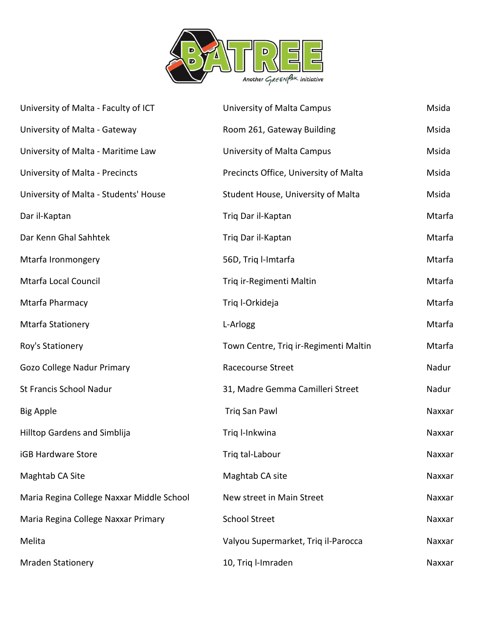

| University of Malta - Faculty of ICT      | University of Malta Campus            | Msida  |
|-------------------------------------------|---------------------------------------|--------|
| University of Malta - Gateway             | Room 261, Gateway Building            | Msida  |
| University of Malta - Maritime Law        | University of Malta Campus            | Msida  |
| University of Malta - Precincts           | Precincts Office, University of Malta | Msida  |
| University of Malta - Students' House     | Student House, University of Malta    | Msida  |
| Dar il-Kaptan                             | Triq Dar il-Kaptan                    | Mtarfa |
| Dar Kenn Ghal Sahhtek                     | Triq Dar il-Kaptan                    | Mtarfa |
| Mtarfa Ironmongery                        | 56D, Triq l-Imtarfa                   | Mtarfa |
| Mtarfa Local Council                      | Triq ir-Regimenti Maltin              | Mtarfa |
| Mtarfa Pharmacy                           | Triq I-Orkideja                       | Mtarfa |
| Mtarfa Stationery                         | L-Arlogg                              | Mtarfa |
| Roy's Stationery                          | Town Centre, Triq ir-Regimenti Maltin | Mtarfa |
| Gozo College Nadur Primary                | <b>Racecourse Street</b>              | Nadur  |
| St Francis School Nadur                   | 31, Madre Gemma Camilleri Street      | Nadur  |
| <b>Big Apple</b>                          | <b>Triq San Pawl</b>                  | Naxxar |
| Hilltop Gardens and Simblija              | Triq I-Inkwina                        | Naxxar |
| <b>iGB Hardware Store</b>                 | Trig tal-Labour                       | Naxxar |
| Maghtab CA Site                           | Maghtab CA site                       | Naxxar |
| Maria Regina College Naxxar Middle School | New street in Main Street             | Naxxar |
| Maria Regina College Naxxar Primary       | <b>School Street</b>                  | Naxxar |
| Melita                                    | Valyou Supermarket, Triq il-Parocca   | Naxxar |
| <b>Mraden Stationery</b>                  | 10, Triq l-Imraden                    | Naxxar |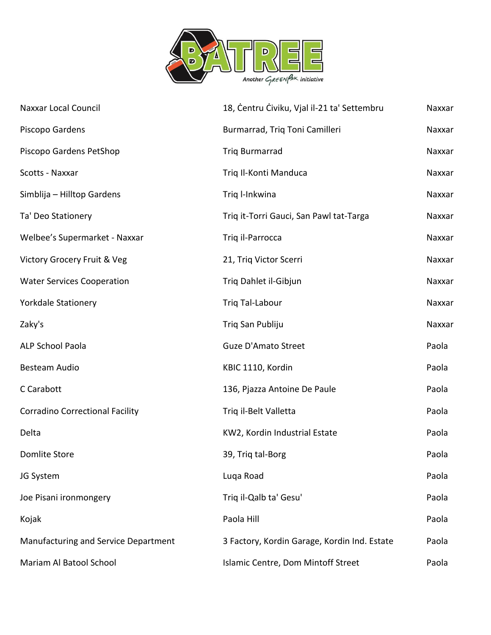

| <b>Naxxar Local Council</b>            | 18, Centru Civiku, Vjal il-21 ta' Settembru  | Naxxar |
|----------------------------------------|----------------------------------------------|--------|
| Piscopo Gardens                        | Burmarrad, Triq Toni Camilleri               | Naxxar |
| Piscopo Gardens PetShop                | <b>Triq Burmarrad</b>                        | Naxxar |
| Scotts - Naxxar                        | Triq Il-Konti Manduca                        | Naxxar |
| Simblija - Hilltop Gardens             | Triq l-Inkwina                               | Naxxar |
| Ta' Deo Stationery                     | Triq it-Torri Gauci, San Pawl tat-Targa      | Naxxar |
| Welbee's Supermarket - Naxxar          | Triq il-Parrocca                             | Naxxar |
| Victory Grocery Fruit & Veg            | 21, Triq Victor Scerri                       | Naxxar |
| <b>Water Services Cooperation</b>      | Triq Dahlet il-Gibjun                        | Naxxar |
| <b>Yorkdale Stationery</b>             | Trig Tal-Labour                              | Naxxar |
| Zaky's                                 | Triq San Publiju                             | Naxxar |
| ALP School Paola                       | <b>Guze D'Amato Street</b>                   | Paola  |
| Besteam Audio                          | KBIC 1110, Kordin                            | Paola  |
| C Carabott                             | 136, Pjazza Antoine De Paule                 | Paola  |
| <b>Corradino Correctional Facility</b> | Triq il-Belt Valletta                        | Paola  |
| Delta                                  | KW2, Kordin Industrial Estate                | Paola  |
| <b>Domlite Store</b>                   | 39, Triq tal-Borg                            | Paola  |
| JG System                              | Luqa Road                                    | Paola  |
| Joe Pisani ironmongery                 | Triq il-Qalb ta' Gesu'                       | Paola  |
| Kojak                                  | Paola Hill                                   | Paola  |
| Manufacturing and Service Department   | 3 Factory, Kordin Garage, Kordin Ind. Estate | Paola  |
| Mariam Al Batool School                | Islamic Centre, Dom Mintoff Street           | Paola  |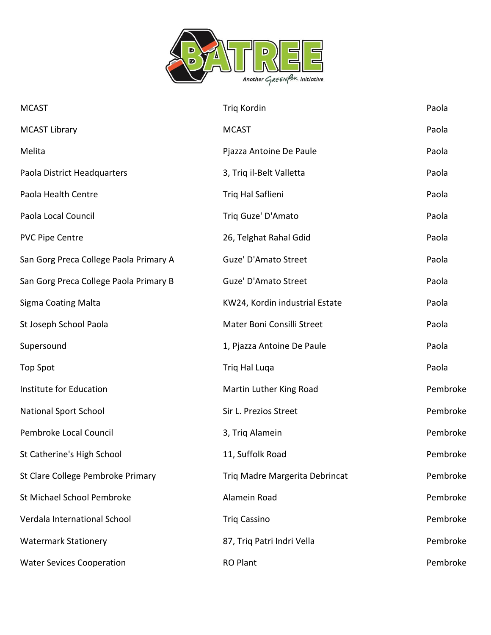

| <b>MCAST</b>                           | Triq Kordin                    | Paola    |
|----------------------------------------|--------------------------------|----------|
| <b>MCAST Library</b>                   | <b>MCAST</b>                   | Paola    |
| Melita                                 | Pjazza Antoine De Paule        | Paola    |
| Paola District Headquarters            | 3, Triq il-Belt Valletta       | Paola    |
| Paola Health Centre                    | Triq Hal Saflieni              | Paola    |
| Paola Local Council                    | Triq Guze' D'Amato             | Paola    |
| <b>PVC Pipe Centre</b>                 | 26, Telghat Rahal Gdid         | Paola    |
| San Gorg Preca College Paola Primary A | Guze' D'Amato Street           | Paola    |
| San Gorg Preca College Paola Primary B | Guze' D'Amato Street           | Paola    |
| <b>Sigma Coating Malta</b>             | KW24, Kordin industrial Estate | Paola    |
| St Joseph School Paola                 | Mater Boni Consilli Street     | Paola    |
| Supersound                             | 1, Pjazza Antoine De Paule     | Paola    |
| <b>Top Spot</b>                        | Triq Hal Luqa                  | Paola    |
| Institute for Education                | Martin Luther King Road        | Pembroke |
| <b>National Sport School</b>           | Sir L. Prezios Street          | Pembroke |
| Pembroke Local Council                 | 3, Triq Alamein                | Pembroke |
| St Catherine's High School             | 11, Suffolk Road               | Pembroke |
| St Clare College Pembroke Primary      | Triq Madre Margerita Debrincat | Pembroke |
| St Michael School Pembroke             | Alamein Road                   | Pembroke |
| Verdala International School           | <b>Triq Cassino</b>            | Pembroke |
| <b>Watermark Stationery</b>            | 87, Triq Patri Indri Vella     | Pembroke |
| <b>Water Sevices Cooperation</b>       | <b>RO Plant</b>                | Pembroke |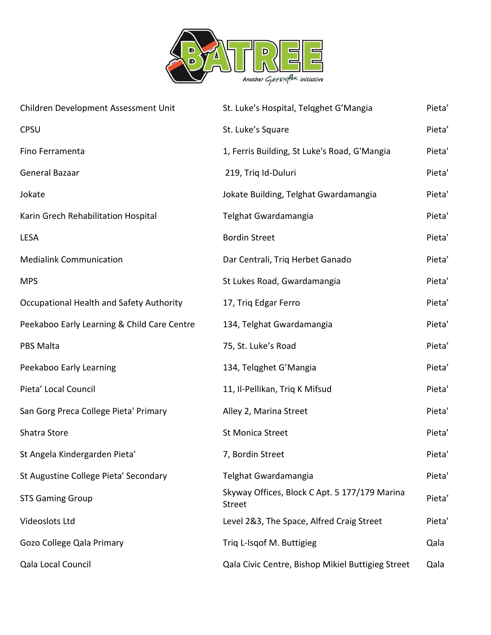

| Children Development Assessment Unit        | St. Luke's Hospital, Telgghet G'Mangia                         | Pieta' |
|---------------------------------------------|----------------------------------------------------------------|--------|
| <b>CPSU</b>                                 | St. Luke's Square                                              | Pieta' |
| Fino Ferramenta                             | 1, Ferris Building, St Luke's Road, G'Mangia                   | Pieta' |
| General Bazaar                              | 219, Triq Id-Duluri                                            | Pieta' |
| Jokate                                      | Jokate Building, Telghat Gwardamangia                          | Pieta' |
| Karin Grech Rehabilitation Hospital         | Telghat Gwardamangia                                           | Pieta' |
| LESA                                        | <b>Bordin Street</b>                                           | Pieta' |
| <b>Medialink Communication</b>              | Dar Centrali, Triq Herbet Ganado                               | Pieta' |
| <b>MPS</b>                                  | St Lukes Road, Gwardamangia                                    | Pieta' |
| Occupational Health and Safety Authority    | 17, Triq Edgar Ferro                                           | Pieta' |
| Peekaboo Early Learning & Child Care Centre | 134, Telghat Gwardamangia                                      | Pieta' |
| <b>PBS Malta</b>                            | 75, St. Luke's Road                                            | Pieta' |
| Peekaboo Early Learning                     | 134, Telqghet G'Mangia                                         | Pieta' |
| Pieta' Local Council                        | 11, Il-Pellikan, Triq K Mifsud                                 | Pieta' |
| San Gorg Preca College Pieta' Primary       | Alley 2, Marina Street                                         | Pieta' |
| Shatra Store                                | <b>St Monica Street</b>                                        | Pieta' |
| St Angela Kindergarden Pieta'               | 7, Bordin Street                                               | Pieta' |
| St Augustine College Pieta' Secondary       | Telghat Gwardamangia                                           | Pieta' |
| <b>STS Gaming Group</b>                     | Skyway Offices, Block C Apt. 5 177/179 Marina<br><b>Street</b> | Pieta' |
| Videoslots Ltd                              | Level 2&3, The Space, Alfred Craig Street                      | Pieta' |
| Gozo College Qala Primary                   | Triq L-Isqof M. Buttigieg                                      | Qala   |
| Qala Local Council                          | Qala Civic Centre, Bishop Mikiel Buttigieg Street              | Qala   |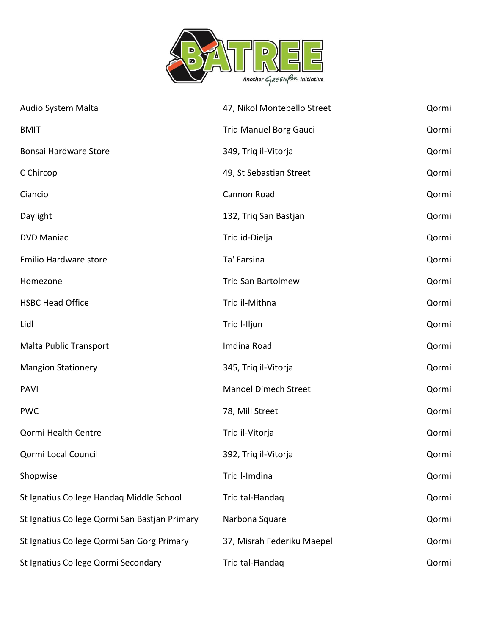

| Audio System Malta                            | 47, Nikol Montebello Street   | Qormi |
|-----------------------------------------------|-------------------------------|-------|
| <b>BMIT</b>                                   | <b>Triq Manuel Borg Gauci</b> | Qormi |
| <b>Bonsai Hardware Store</b>                  | 349, Triq il-Vitorja          | Qormi |
| C Chircop                                     | 49, St Sebastian Street       | Qormi |
| Ciancio                                       | Cannon Road                   | Qormi |
| Daylight                                      | 132, Triq San Bastjan         | Qormi |
| <b>DVD Maniac</b>                             | Triq id-Dielja                | Qormi |
| Emilio Hardware store                         | Ta' Farsina                   | Qormi |
| Homezone                                      | <b>Triq San Bartolmew</b>     | Qormi |
| <b>HSBC Head Office</b>                       | Triq il-Mithna                | Qormi |
| Lidl                                          | Triq I-Iljun                  | Qormi |
| <b>Malta Public Transport</b>                 | Imdina Road                   | Qormi |
| <b>Mangion Stationery</b>                     | 345, Triq il-Vitorja          | Qormi |
| <b>PAVI</b>                                   | Manoel Dimech Street          | Qormi |
| <b>PWC</b>                                    | 78, Mill Street               | Qormi |
| Qormi Health Centre                           | Triq il-Vitorja               | Qormi |
| Qormi Local Council                           | 392, Triq il-Vitorja          | Qormi |
| Shopwise                                      | Triq l-Imdina                 | Qormi |
| St Ignatius College Handaq Middle School      | Triq tal-Handaq               | Qormi |
| St Ignatius College Qormi San Bastjan Primary | Narbona Square                | Qormi |
| St Ignatius College Qormi San Gorg Primary    | 37, Misrah Federiku Maepel    | Qormi |
| St Ignatius College Qormi Secondary           | Triq tal-Handaq               | Qormi |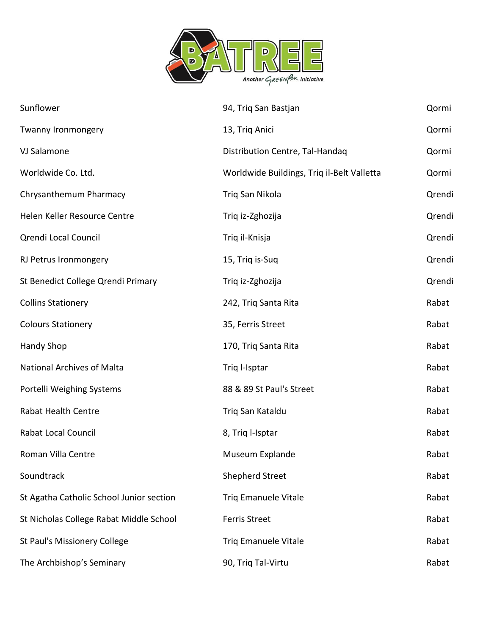

| Sunflower                                | 94, Triq San Bastjan                       | Qormi  |
|------------------------------------------|--------------------------------------------|--------|
| Twanny Ironmongery                       | 13, Triq Anici                             | Qormi  |
| VJ Salamone                              | Distribution Centre, Tal-Handaq            | Qormi  |
| Worldwide Co. Ltd.                       | Worldwide Buildings, Triq il-Belt Valletta | Qormi  |
| Chrysanthemum Pharmacy                   | Triq San Nikola                            | Qrendi |
| Helen Keller Resource Centre             | Triq iz-Zghozija                           | Qrendi |
| Qrendi Local Council                     | Triq il-Knisja                             | Qrendi |
| RJ Petrus Ironmongery                    | 15, Triq is-Suq                            | Qrendi |
| St Benedict College Qrendi Primary       | Triq iz-Zghozija                           | Qrendi |
| <b>Collins Stationery</b>                | 242, Triq Santa Rita                       | Rabat  |
| <b>Colours Stationery</b>                | 35, Ferris Street                          | Rabat  |
| <b>Handy Shop</b>                        | 170, Triq Santa Rita                       | Rabat  |
| <b>National Archives of Malta</b>        | Triq I-Isptar                              | Rabat  |
| Portelli Weighing Systems                | 88 & 89 St Paul's Street                   | Rabat  |
| Rabat Health Centre                      | Triq San Kataldu                           | Rabat  |
| Rabat Local Council                      | 8, Triq l-Isptar                           | Rabat  |
| Roman Villa Centre                       | Museum Explande                            | Rabat  |
| Soundtrack                               | <b>Shepherd Street</b>                     | Rabat  |
| St Agatha Catholic School Junior section | <b>Triq Emanuele Vitale</b>                | Rabat  |
| St Nicholas College Rabat Middle School  | <b>Ferris Street</b>                       | Rabat  |
| St Paul's Missionery College             | <b>Triq Emanuele Vitale</b>                | Rabat  |
| The Archbishop's Seminary                | 90, Triq Tal-Virtu                         | Rabat  |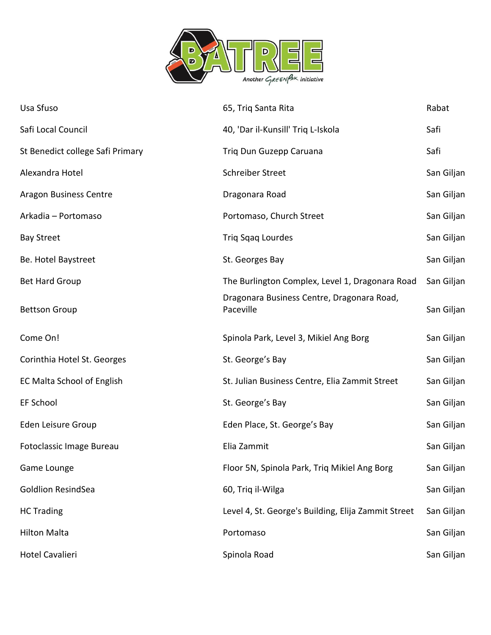

| Usa Sfuso                         | 65, Triq Santa Rita                                     | Rabat      |
|-----------------------------------|---------------------------------------------------------|------------|
| Safi Local Council                | 40, 'Dar il-Kunsill' Triq L-Iskola                      | Safi       |
| St Benedict college Safi Primary  | Triq Dun Guzepp Caruana                                 | Safi       |
| Alexandra Hotel                   | <b>Schreiber Street</b>                                 | San Giljan |
| <b>Aragon Business Centre</b>     | Dragonara Road                                          | San Giljan |
| Arkadia - Portomaso               | Portomaso, Church Street                                | San Giljan |
| <b>Bay Street</b>                 | Triq Sqaq Lourdes                                       | San Giljan |
| Be. Hotel Baystreet               | St. Georges Bay                                         | San Giljan |
| <b>Bet Hard Group</b>             | The Burlington Complex, Level 1, Dragonara Road         | San Giljan |
| <b>Bettson Group</b>              | Dragonara Business Centre, Dragonara Road,<br>Paceville | San Giljan |
| Come On!                          | Spinola Park, Level 3, Mikiel Ang Borg                  | San Giljan |
| Corinthia Hotel St. Georges       | St. George's Bay                                        | San Giljan |
| <b>EC Malta School of English</b> | St. Julian Business Centre, Elia Zammit Street          | San Giljan |
| EF School                         | St. George's Bay                                        | San Giljan |
| Eden Leisure Group                | Eden Place, St. George's Bay                            | San Giljan |
| Fotoclassic Image Bureau          | Elia Zammit                                             | San Giljan |
| Game Lounge                       | Floor 5N, Spinola Park, Triq Mikiel Ang Borg            | San Giljan |
| <b>Goldlion ResindSea</b>         | 60, Triq il-Wilga                                       | San Giljan |
| <b>HC Trading</b>                 | Level 4, St. George's Building, Elija Zammit Street     | San Giljan |
| <b>Hilton Malta</b>               | Portomaso                                               | San Giljan |
| <b>Hotel Cavalieri</b>            | Spinola Road                                            | San Giljan |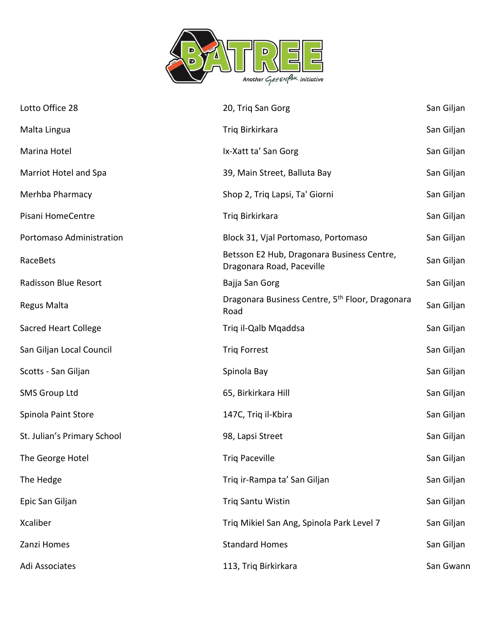

| Lotto Office 28             | 20, Triq San Gorg                                                       | San Giljan |
|-----------------------------|-------------------------------------------------------------------------|------------|
| Malta Lingua                | Triq Birkirkara                                                         | San Giljan |
| Marina Hotel                | Ix-Xatt ta' San Gorg                                                    | San Giljan |
| Marriot Hotel and Spa       | 39, Main Street, Balluta Bay                                            | San Giljan |
| Merhba Pharmacy             | Shop 2, Triq Lapsi, Ta' Giorni                                          | San Giljan |
| Pisani HomeCentre           | Triq Birkirkara                                                         | San Giljan |
| Portomaso Administration    | Block 31, Vjal Portomaso, Portomaso                                     | San Giljan |
| RaceBets                    | Betsson E2 Hub, Dragonara Business Centre,<br>Dragonara Road, Paceville | San Giljan |
| Radisson Blue Resort        | Bajja San Gorg                                                          | San Giljan |
| Regus Malta                 | Dragonara Business Centre, 5 <sup>th</sup> Floor, Dragonara<br>Road     | San Giljan |
| <b>Sacred Heart College</b> | Triq il-Qalb Mqaddsa                                                    | San Giljan |
| San Giljan Local Council    | <b>Triq Forrest</b>                                                     | San Giljan |
| Scotts - San Giljan         | Spinola Bay                                                             | San Giljan |
| <b>SMS Group Ltd</b>        | 65, Birkirkara Hill                                                     | San Giljan |
| Spinola Paint Store         | 147C, Triq il-Kbira                                                     | San Giljan |
| St. Julian's Primary School | 98, Lapsi Street                                                        | San Giljan |
| The George Hotel            | <b>Triq Paceville</b>                                                   | San Giljan |
| The Hedge                   | Triq ir-Rampa ta' San Giljan                                            | San Giljan |
| Epic San Giljan             | Triq Santu Wistin                                                       | San Giljan |
| Xcaliber                    | Triq Mikiel San Ang, Spinola Park Level 7                               | San Giljan |
| Zanzi Homes                 | <b>Standard Homes</b>                                                   | San Giljan |
| Adi Associates              | 113, Triq Birkirkara                                                    | San Gwann  |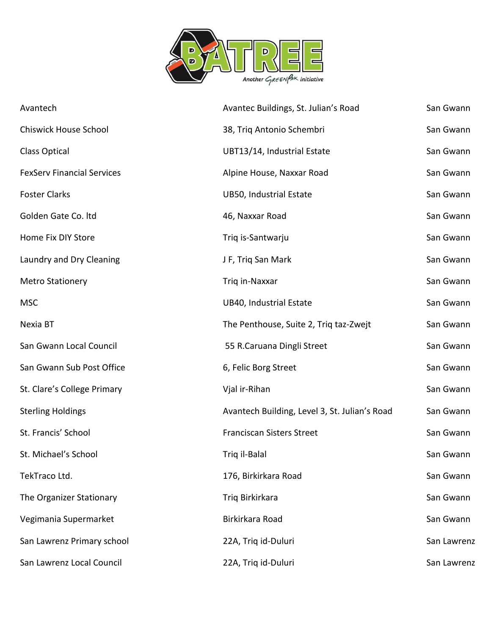

| Avantech                          | Avantec Buildings, St. Julian's Road          | San Gwann   |
|-----------------------------------|-----------------------------------------------|-------------|
| <b>Chiswick House School</b>      | 38, Triq Antonio Schembri                     | San Gwann   |
| <b>Class Optical</b>              | UBT13/14, Industrial Estate                   | San Gwann   |
| <b>FexServ Financial Services</b> | Alpine House, Naxxar Road                     | San Gwann   |
| <b>Foster Clarks</b>              | UB50, Industrial Estate                       | San Gwann   |
| Golden Gate Co. Itd               | 46, Naxxar Road                               | San Gwann   |
| Home Fix DIY Store                | Triq is-Santwarju                             | San Gwann   |
| Laundry and Dry Cleaning          | J F, Triq San Mark                            | San Gwann   |
| <b>Metro Stationery</b>           | Triq in-Naxxar                                | San Gwann   |
| <b>MSC</b>                        | UB40, Industrial Estate                       | San Gwann   |
| Nexia BT                          | The Penthouse, Suite 2, Triq taz-Zwejt        | San Gwann   |
| San Gwann Local Council           | 55 R.Caruana Dingli Street                    | San Gwann   |
| San Gwann Sub Post Office         | 6, Felic Borg Street                          | San Gwann   |
| St. Clare's College Primary       | Vjal ir-Rihan                                 | San Gwann   |
| <b>Sterling Holdings</b>          | Avantech Building, Level 3, St. Julian's Road | San Gwann   |
| St. Francis' School               | <b>Franciscan Sisters Street</b>              | San Gwann   |
| St. Michael's School              | Triq il-Balal                                 | San Gwann   |
| TekTraco Ltd.                     | 176, Birkirkara Road                          | San Gwann   |
| The Organizer Stationary          | Triq Birkirkara                               | San Gwann   |
| Vegimania Supermarket             | Birkirkara Road                               | San Gwann   |
| San Lawrenz Primary school        | 22A, Triq id-Duluri                           | San Lawrenz |
| San Lawrenz Local Council         | 22A, Triq id-Duluri                           | San Lawrenz |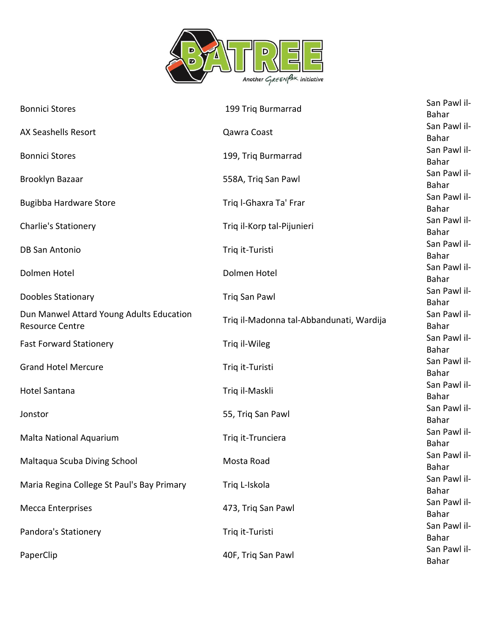

| <b>Bonnici Stores</b>                                              | 199 Triq Burmarrad                       | San Pawl il-<br>Bahar        |
|--------------------------------------------------------------------|------------------------------------------|------------------------------|
| <b>AX Seashells Resort</b>                                         | Qawra Coast                              | San Pawl il-<br>Bahar        |
| <b>Bonnici Stores</b>                                              | 199, Triq Burmarrad                      | San Pawl il-<br>Bahar        |
| Brooklyn Bazaar                                                    | 558A, Triq San Pawl                      | San Pawl il-<br>Bahar        |
| <b>Bugibba Hardware Store</b>                                      | Triq I-Ghaxra Ta' Frar                   | San Pawl il-<br>Bahar        |
| Charlie's Stationery                                               | Triq il-Korp tal-Pijunieri               | San Pawl il-<br>Bahar        |
| <b>DB San Antonio</b>                                              | Triq it-Turisti                          | San Pawl il-<br>Bahar        |
| Dolmen Hotel                                                       | Dolmen Hotel                             | San Pawl il-<br>Bahar        |
| Doobles Stationary                                                 | Triq San Pawl                            | San Pawl il-<br>Bahar        |
| Dun Manwel Attard Young Adults Education<br><b>Resource Centre</b> | Triq il-Madonna tal-Abbandunati, Wardija | San Pawl il-<br><b>Bahar</b> |
| <b>Fast Forward Stationery</b>                                     | Triq il-Wileg                            | San Pawl il-<br>Bahar        |
| <b>Grand Hotel Mercure</b>                                         | Triq it-Turisti                          | San Pawl il-<br>Bahar        |
| <b>Hotel Santana</b>                                               | Triq il-Maskli                           | San Pawl il-<br>Bahar        |
| Jonstor                                                            | 55, Triq San Pawl                        | San Pawl il-<br>Bahar        |
| Malta National Aquarium                                            | Triq it-Trunciera                        | San Pawl il-<br>Bahar        |
| Maltaqua Scuba Diving School                                       | Mosta Road                               | San Pawl il-<br>Bahar        |
| Maria Regina College St Paul's Bay Primary                         | Triq L-Iskola                            | San Pawl il-<br>Bahar        |
| <b>Mecca Enterprises</b>                                           | 473, Triq San Pawl                       | San Pawl il-<br>Bahar        |
| Pandora's Stationery                                               | Triq it-Turisti                          | San Pawl il-<br>Bahar        |
| PaperClip                                                          | 40F, Triq San Pawl                       | San Pawl il-<br>Bahar        |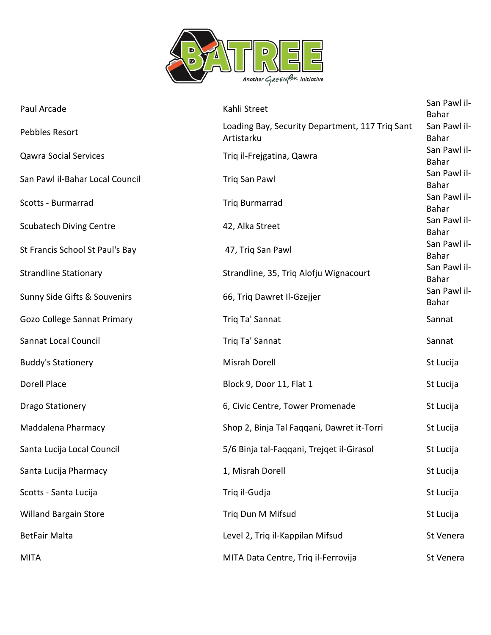

| Paul Arcade                     | Kahli Street                                                  | San Pawl il-<br><b>Bahar</b> |
|---------------------------------|---------------------------------------------------------------|------------------------------|
| Pebbles Resort                  | Loading Bay, Security Department, 117 Triq Sant<br>Artistarku | San Pawl il-<br>Bahar        |
| <b>Qawra Social Services</b>    | Triq il-Frejgatina, Qawra                                     | San Pawl il-<br><b>Bahar</b> |
| San Pawl il-Bahar Local Council | <b>Triq San Pawl</b>                                          | San Pawl il-<br>Bahar        |
| Scotts - Burmarrad              | <b>Triq Burmarrad</b>                                         | San Pawl il-<br>Bahar        |
| <b>Scubatech Diving Centre</b>  | 42, Alka Street                                               | San Pawl il-<br>Bahar        |
| St Francis School St Paul's Bay | 47, Triq San Pawl                                             | San Pawl il-<br>Bahar        |
| <b>Strandline Stationary</b>    | Strandline, 35, Triq Alofju Wignacourt                        | San Pawl il-<br>Bahar        |
| Sunny Side Gifts & Souvenirs    | 66, Triq Dawret Il-Gzejjer                                    | San Pawl il-<br>Bahar        |
| Gozo College Sannat Primary     | Triq Ta' Sannat                                               | Sannat                       |
| Sannat Local Council            | Triq Ta' Sannat                                               | Sannat                       |
| <b>Buddy's Stationery</b>       | Misrah Dorell                                                 | St Lucija                    |
| Dorell Place                    | Block 9, Door 11, Flat 1                                      | St Lucija                    |
| <b>Drago Stationery</b>         | 6, Civic Centre, Tower Promenade                              | St Lucija                    |
| Maddalena Pharmacy              | Shop 2, Binja Tal Faqqani, Dawret it-Torri                    | St Lucija                    |
| Santa Lucija Local Council      | 5/6 Binja tal-Faqqani, Trejqet il-Girasol                     | St Lucija                    |
| Santa Lucija Pharmacy           | 1, Misrah Dorell                                              | St Lucija                    |
| Scotts - Santa Lucija           | Triq il-Gudja                                                 | St Lucija                    |
| <b>Willand Bargain Store</b>    | Triq Dun M Mifsud                                             | St Lucija                    |
| <b>BetFair Malta</b>            | Level 2, Triq il-Kappilan Mifsud                              | St Venera                    |
| <b>MITA</b>                     | MITA Data Centre, Triq il-Ferrovija                           | St Venera                    |
|                                 |                                                               |                              |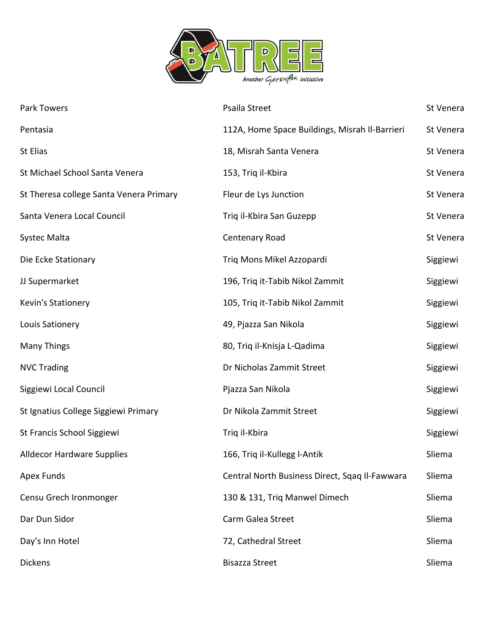

| Park Towers                             | Psaila Street                                  | St Venera |
|-----------------------------------------|------------------------------------------------|-----------|
| Pentasia                                | 112A, Home Space Buildings, Misrah Il-Barrieri | St Venera |
| St Elias                                | 18, Misrah Santa Venera                        | St Venera |
| St Michael School Santa Venera          | 153, Triq il-Kbira                             | St Venera |
| St Theresa college Santa Venera Primary | Fleur de Lys Junction                          | St Venera |
| Santa Venera Local Council              | Triq il-Kbira San Guzepp                       | St Venera |
| Systec Malta                            | Centenary Road                                 | St Venera |
| Die Ecke Stationary                     | Triq Mons Mikel Azzopardi                      | Siggiewi  |
| JJ Supermarket                          | 196, Triq it-Tabib Nikol Zammit                | Siggiewi  |
| Kevin's Stationery                      | 105, Triq it-Tabib Nikol Zammit                | Siggiewi  |
| Louis Sationery                         | 49, Pjazza San Nikola                          | Siggiewi  |
| Many Things                             | 80, Triq il-Knisja L-Qadima                    | Siggiewi  |
| <b>NVC Trading</b>                      | Dr Nicholas Zammit Street                      | Siggiewi  |
| Siggiewi Local Council                  | Pjazza San Nikola                              | Siggiewi  |
| St Ignatius College Siggiewi Primary    | Dr Nikola Zammit Street                        | Siggiewi  |
| St Francis School Siggiewi              | Triq il-Kbira                                  | Siggiewi  |
| <b>Alldecor Hardware Supplies</b>       | 166, Triq il-Kullegg l-Antik                   | Sliema    |
| <b>Apex Funds</b>                       | Central North Business Direct, Sqaq Il-Fawwara | Sliema    |
| Censu Grech Ironmonger                  | 130 & 131, Triq Manwel Dimech                  | Sliema    |
| Dar Dun Sidor                           | Carm Galea Street                              | Sliema    |
| Day's Inn Hotel                         | 72, Cathedral Street                           | Sliema    |
| <b>Dickens</b>                          | <b>Bisazza Street</b>                          | Sliema    |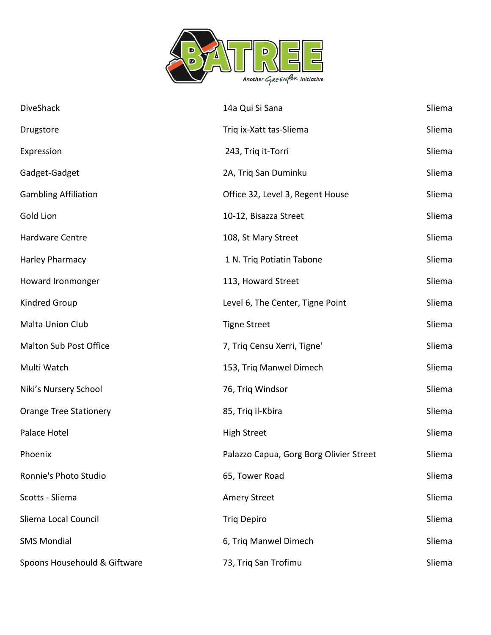

| DiveShack                     | 14a Qui Si Sana                         | Sliema |
|-------------------------------|-----------------------------------------|--------|
| Drugstore                     | Triq ix-Xatt tas-Sliema                 | Sliema |
| Expression                    | 243, Triq it-Torri                      | Sliema |
| Gadget-Gadget                 | 2A, Triq San Duminku                    | Sliema |
| <b>Gambling Affiliation</b>   | Office 32, Level 3, Regent House        | Sliema |
| Gold Lion                     | 10-12, Bisazza Street                   | Sliema |
| Hardware Centre               | 108, St Mary Street                     | Sliema |
| Harley Pharmacy               | 1 N. Triq Potiatin Tabone               | Sliema |
| Howard Ironmonger             | 113, Howard Street                      | Sliema |
| Kindred Group                 | Level 6, The Center, Tigne Point        | Sliema |
| Malta Union Club              | <b>Tigne Street</b>                     | Sliema |
| Malton Sub Post Office        | 7, Triq Censu Xerri, Tigne'             | Sliema |
| Multi Watch                   | 153, Triq Manwel Dimech                 | Sliema |
| Niki's Nursery School         | 76, Triq Windsor                        | Sliema |
| <b>Orange Tree Stationery</b> | 85, Triq il-Kbira                       | Sliema |
| Palace Hotel                  | <b>High Street</b>                      | Sliema |
| Phoenix                       | Palazzo Capua, Gorg Borg Olivier Street | Sliema |
| Ronnie's Photo Studio         | 65, Tower Road                          | Sliema |
| Scotts - Sliema               | <b>Amery Street</b>                     | Sliema |
| Sliema Local Council          | <b>Triq Depiro</b>                      | Sliema |
| <b>SMS Mondial</b>            | 6, Triq Manwel Dimech                   | Sliema |
| Spoons Househould & Giftware  | 73, Triq San Trofimu                    | Sliema |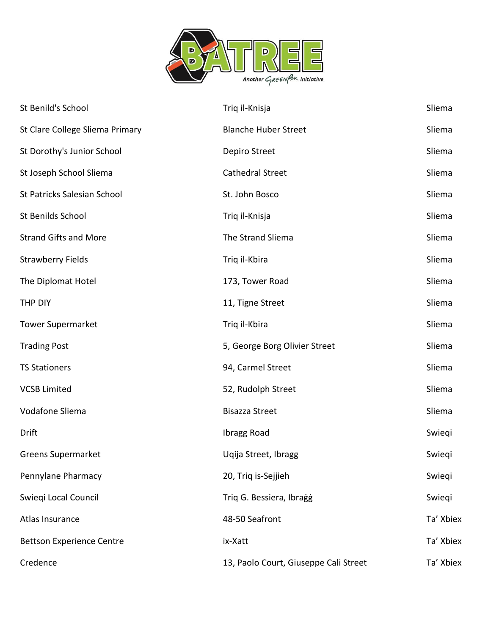

| St Benild's School               | Triq il-Knisja                        | Sliema    |
|----------------------------------|---------------------------------------|-----------|
| St Clare College Sliema Primary  | <b>Blanche Huber Street</b>           | Sliema    |
| St Dorothy's Junior School       | Depiro Street                         | Sliema    |
| St Joseph School Sliema          | Cathedral Street                      | Sliema    |
| St Patricks Salesian School      | St. John Bosco                        | Sliema    |
| St Benilds School                | Triq il-Knisja                        | Sliema    |
| <b>Strand Gifts and More</b>     | The Strand Sliema                     | Sliema    |
| <b>Strawberry Fields</b>         | Triq il-Kbira                         | Sliema    |
| The Diplomat Hotel               | 173, Tower Road                       | Sliema    |
| THP DIY                          | 11, Tigne Street                      | Sliema    |
| <b>Tower Supermarket</b>         | Triq il-Kbira                         | Sliema    |
| <b>Trading Post</b>              | 5, George Borg Olivier Street         | Sliema    |
| <b>TS Stationers</b>             | 94, Carmel Street                     | Sliema    |
| <b>VCSB Limited</b>              | 52, Rudolph Street                    | Sliema    |
| Vodafone Sliema                  | <b>Bisazza Street</b>                 | Sliema    |
| Drift                            | Ibragg Road                           | Swiegi    |
| <b>Greens Supermarket</b>        | Uqija Street, Ibragg                  | Swiegi    |
| Pennylane Pharmacy               | 20, Triq is-Sejjieh                   | Swieqi    |
| Swieqi Local Council             | Triq G. Bessiera, Ibragg              | Swiegi    |
| Atlas Insurance                  | 48-50 Seafront                        | Ta' Xbiex |
| <b>Bettson Experience Centre</b> | ix-Xatt                               | Ta' Xbiex |
| Credence                         | 13, Paolo Court, Giuseppe Cali Street | Ta' Xbiex |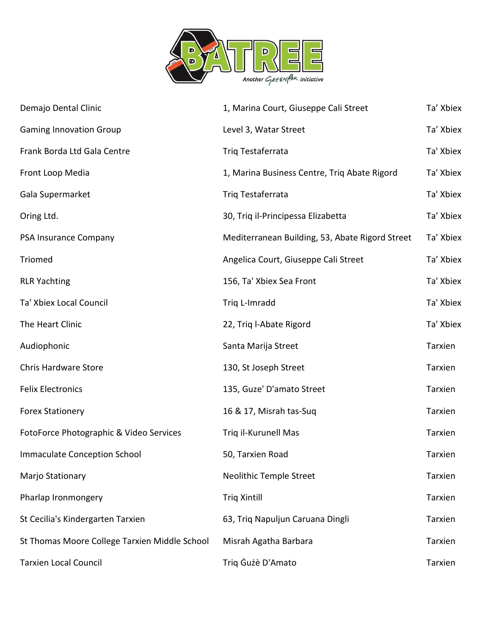

| Demajo Dental Clinic                          | 1, Marina Court, Giuseppe Cali Street           | Ta' Xbiex      |
|-----------------------------------------------|-------------------------------------------------|----------------|
| <b>Gaming Innovation Group</b>                | Level 3, Watar Street                           | Ta' Xbiex      |
| Frank Borda Ltd Gala Centre                   | Triq Testaferrata                               | Ta' Xbiex      |
| Front Loop Media                              | 1, Marina Business Centre, Triq Abate Rigord    | Ta' Xbiex      |
| Gala Supermarket                              | Triq Testaferrata                               | Ta' Xbiex      |
| Oring Ltd.                                    | 30, Triq il-Principessa Elizabetta              | Ta' Xbiex      |
| PSA Insurance Company                         | Mediterranean Building, 53, Abate Rigord Street | Ta' Xbiex      |
| Triomed                                       | Angelica Court, Giuseppe Cali Street            | Ta' Xbiex      |
| <b>RLR Yachting</b>                           | 156, Ta' Xbiex Sea Front                        | Ta' Xbiex      |
| Ta' Xbiex Local Council                       | Triq L-Imradd                                   | Ta' Xbiex      |
| The Heart Clinic                              | 22, Triq l-Abate Rigord                         | Ta' Xbiex      |
| Audiophonic                                   | Santa Marija Street                             | Tarxien        |
| <b>Chris Hardware Store</b>                   | 130, St Joseph Street                           | Tarxien        |
| <b>Felix Electronics</b>                      | 135, Guze' D'amato Street                       | Tarxien        |
| <b>Forex Stationery</b>                       | 16 & 17, Misrah tas-Suq                         | Tarxien        |
| FotoForce Photographic & Video Services       | Triq il-Kurunell Mas                            | Tarxien        |
| <b>Immaculate Conception School</b>           | 50, Tarxien Road                                | Tarxien        |
| Marjo Stationary                              | <b>Neolithic Temple Street</b>                  | <b>Tarxien</b> |
| Pharlap Ironmongery                           | <b>Triq Xintill</b>                             | Tarxien        |
| St Cecilia's Kindergarten Tarxien             | 63, Triq Napuljun Caruana Dingli                | Tarxien        |
| St Thomas Moore College Tarxien Middle School | Misrah Agatha Barbara                           | Tarxien        |
| <b>Tarxien Local Council</b>                  | Triq Gużè D'Amato                               | Tarxien        |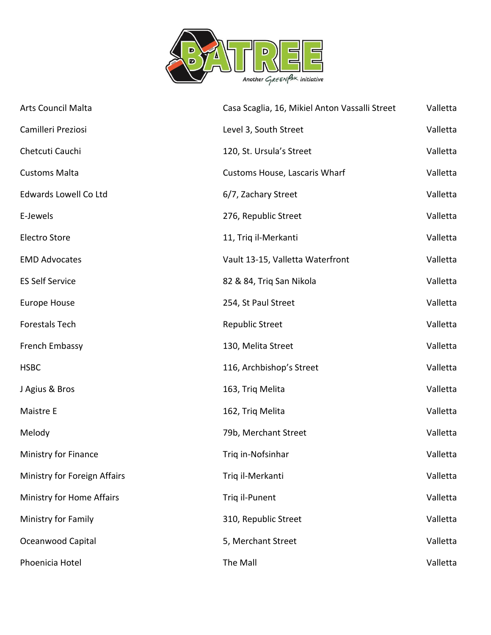

| <b>Arts Council Malta</b>    | Casa Scaglia, 16, Mikiel Anton Vassalli Street | Valletta |
|------------------------------|------------------------------------------------|----------|
| Camilleri Preziosi           | Level 3, South Street                          | Valletta |
| Chetcuti Cauchi              | 120, St. Ursula's Street                       | Valletta |
| <b>Customs Malta</b>         | Customs House, Lascaris Wharf                  | Valletta |
| <b>Edwards Lowell Co Ltd</b> | 6/7, Zachary Street                            | Valletta |
| E-Jewels                     | 276, Republic Street                           | Valletta |
| <b>Electro Store</b>         | 11, Triq il-Merkanti                           | Valletta |
| <b>EMD Advocates</b>         | Vault 13-15, Valletta Waterfront               | Valletta |
| <b>ES Self Service</b>       | 82 & 84, Triq San Nikola                       | Valletta |
| <b>Europe House</b>          | 254, St Paul Street                            | Valletta |
| <b>Forestals Tech</b>        | <b>Republic Street</b>                         | Valletta |
| French Embassy               | 130, Melita Street                             | Valletta |
| <b>HSBC</b>                  | 116, Archbishop's Street                       | Valletta |
| J Agius & Bros               | 163, Triq Melita                               | Valletta |
| Maistre E                    | 162, Triq Melita                               | Valletta |
| Melody                       | 79b, Merchant Street                           | Valletta |
| Ministry for Finance         | Triq in-Nofsinhar                              | Valletta |
| Ministry for Foreign Affairs | Triq il-Merkanti                               | Valletta |
| Ministry for Home Affairs    | Triq il-Punent                                 | Valletta |
| Ministry for Family          | 310, Republic Street                           | Valletta |
| Oceanwood Capital            | 5, Merchant Street                             | Valletta |
| Phoenicia Hotel              | The Mall                                       | Valletta |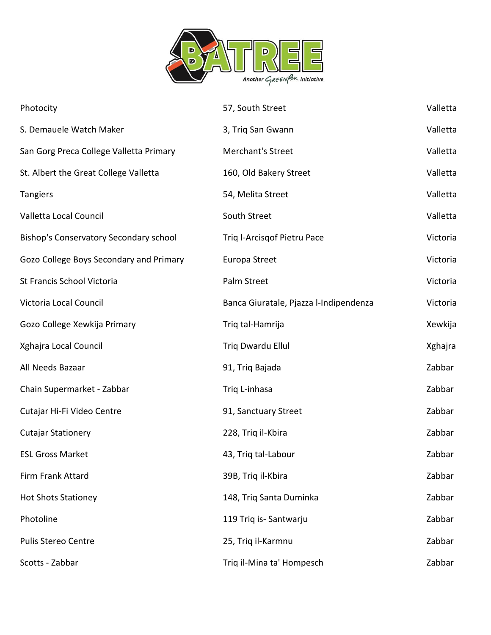

| Photocity                               | 57, South Street                       | Valletta |
|-----------------------------------------|----------------------------------------|----------|
| S. Demauele Watch Maker                 | 3, Triq San Gwann                      | Valletta |
| San Gorg Preca College Valletta Primary | Merchant's Street                      | Valletta |
| St. Albert the Great College Valletta   | 160, Old Bakery Street                 | Valletta |
| <b>Tangiers</b>                         | 54, Melita Street                      | Valletta |
| Valletta Local Council                  | South Street                           | Valletta |
| Bishop's Conservatory Secondary school  | Triq l-Arcisqof Pietru Pace            | Victoria |
| Gozo College Boys Secondary and Primary | Europa Street                          | Victoria |
| St Francis School Victoria              | Palm Street                            | Victoria |
| Victoria Local Council                  | Banca Giuratale, Pjazza l-Indipendenza | Victoria |
| Gozo College Xewkija Primary            | Triq tal-Hamrija                       | Xewkija  |
| Xghajra Local Council                   | Triq Dwardu Ellul                      | Xghajra  |
| All Needs Bazaar                        | 91, Triq Bajada                        | Zabbar   |
| Chain Supermarket - Zabbar              | Triq L-inhasa                          | Zabbar   |
| Cutajar Hi-Fi Video Centre              | 91, Sanctuary Street                   | Zabbar   |
| <b>Cutajar Stationery</b>               | 228, Triq il-Kbira                     | Zabbar   |
| <b>ESL Gross Market</b>                 | 43, Triq tal-Labour                    | Zabbar   |
| Firm Frank Attard                       | 39B, Triq il-Kbira                     | Zabbar   |
| <b>Hot Shots Stationey</b>              | 148, Triq Santa Duminka                | Zabbar   |
| Photoline                               | 119 Triq is-Santwarju                  | Zabbar   |
| <b>Pulis Stereo Centre</b>              | 25, Triq il-Karmnu                     | Zabbar   |
| Scotts - Zabbar                         | Triq il-Mina ta' Hompesch              | Zabbar   |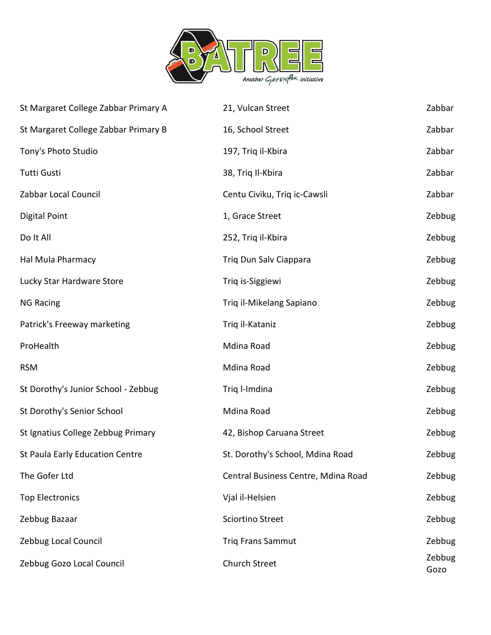

| St Margaret College Zabbar Primary A | 21, Vulcan Street                   | Zabbar         |
|--------------------------------------|-------------------------------------|----------------|
| St Margaret College Zabbar Primary B | 16, School Street                   | Zabbar         |
| Tony's Photo Studio                  | 197, Triq il-Kbira                  | Zabbar         |
| Tutti Gusti                          | 38, Triq Il-Kbira                   | Zabbar         |
| Zabbar Local Council                 | Centu Civiku, Triq ic-Cawsli        | Zabbar         |
| Digital Point                        | 1, Grace Street                     | Zebbug         |
| Do It All                            | 252, Triq il-Kbira                  | Zebbug         |
| Hal Mula Pharmacy                    | Triq Dun Salv Ciappara              | Zebbug         |
| Lucky Star Hardware Store            | Triq is-Siggiewi                    | Zebbug         |
| <b>NG Racing</b>                     | Triq il-Mikelang Sapiano            | Zebbug         |
| Patrick's Freeway marketing          | Triq il-Kataniz                     | Zebbug         |
| ProHealth                            | Mdina Road                          | Zebbug         |
| <b>RSM</b>                           | Mdina Road                          | Zebbug         |
| St Dorothy's Junior School - Zebbug  | Triq l-Imdina                       | Zebbug         |
| St Dorothy's Senior School           | Mdina Road                          | Zebbug         |
| St Ignatius College Zebbug Primary   | 42, Bishop Caruana Street           | Zebbug         |
| St Paula Early Education Centre      | St. Dorothy's School, Mdina Road    | Zebbug         |
| The Gofer Ltd                        | Central Business Centre, Mdina Road | Zebbug         |
| <b>Top Electronics</b>               | Vjal il-Helsien                     | Zebbug         |
| Zebbug Bazaar                        | <b>Sciortino Street</b>             | Zebbug         |
| Zebbug Local Council                 | <b>Triq Frans Sammut</b>            | Zebbug         |
| Zebbug Gozo Local Council            | Church Street                       | Zebbug<br>Gozo |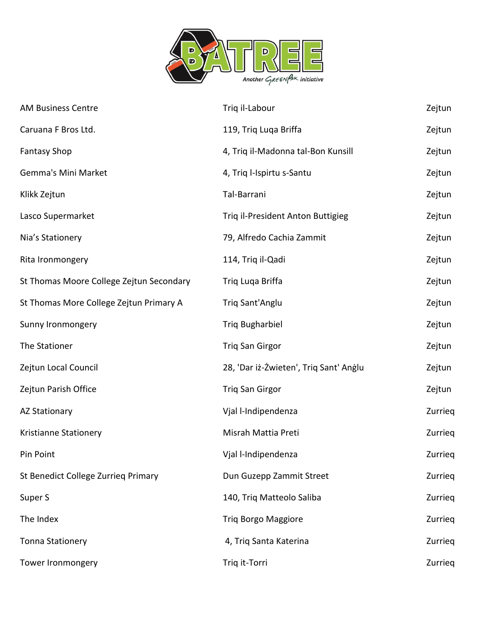

| <b>AM Business Centre</b>                | Triq il-Labour                         | Zejtun  |
|------------------------------------------|----------------------------------------|---------|
| Caruana F Bros Ltd.                      | 119, Triq Luqa Briffa                  | Zejtun  |
| <b>Fantasy Shop</b>                      | 4, Triq il-Madonna tal-Bon Kunsill     | Zejtun  |
| Gemma's Mini Market                      | 4, Triq l-Ispirtu s-Santu              | Zejtun  |
| Klikk Zejtun                             | Tal-Barrani                            | Zejtun  |
| Lasco Supermarket                        | Triq il-President Anton Buttigieg      | Zejtun  |
| Nia's Stationery                         | 79, Alfredo Cachia Zammit              | Zejtun  |
| Rita Ironmongery                         | 114, Triq il-Qadi                      | Zejtun  |
| St Thomas Moore College Zejtun Secondary | Triq Luqa Briffa                       | Zejtun  |
| St Thomas More College Zejtun Primary A  | Triq Sant'Anglu                        | Zejtun  |
| Sunny Ironmongery                        | <b>Triq Bugharbiel</b>                 | Zejtun  |
| The Stationer                            | <b>Triq San Girgor</b>                 | Zejtun  |
| Zejtun Local Council                     | 28, 'Dar iż-Żwieten', Triq Sant' Anglu | Zejtun  |
| Zejtun Parish Office                     | Triq San Girgor                        | Zejtun  |
| <b>AZ Stationary</b>                     | Vjal l-Indipendenza                    | Zurrieg |
| Kristianne Stationery                    | Misrah Mattia Preti                    | Zurrieg |
| Pin Point                                | Vjal l-Indipendenza                    | Zurrieg |
| St Benedict College Zurrieg Primary      | Dun Guzepp Zammit Street               | Zurrieg |
| Super S                                  | 140, Triq Matteolo Saliba              | Zurrieg |
| The Index                                | <b>Triq Borgo Maggiore</b>             | Zurrieg |
| <b>Tonna Stationery</b>                  | 4, Triq Santa Katerina                 | Zurrieg |
| Tower Ironmongery                        | Triq it-Torri                          | Zurrieg |